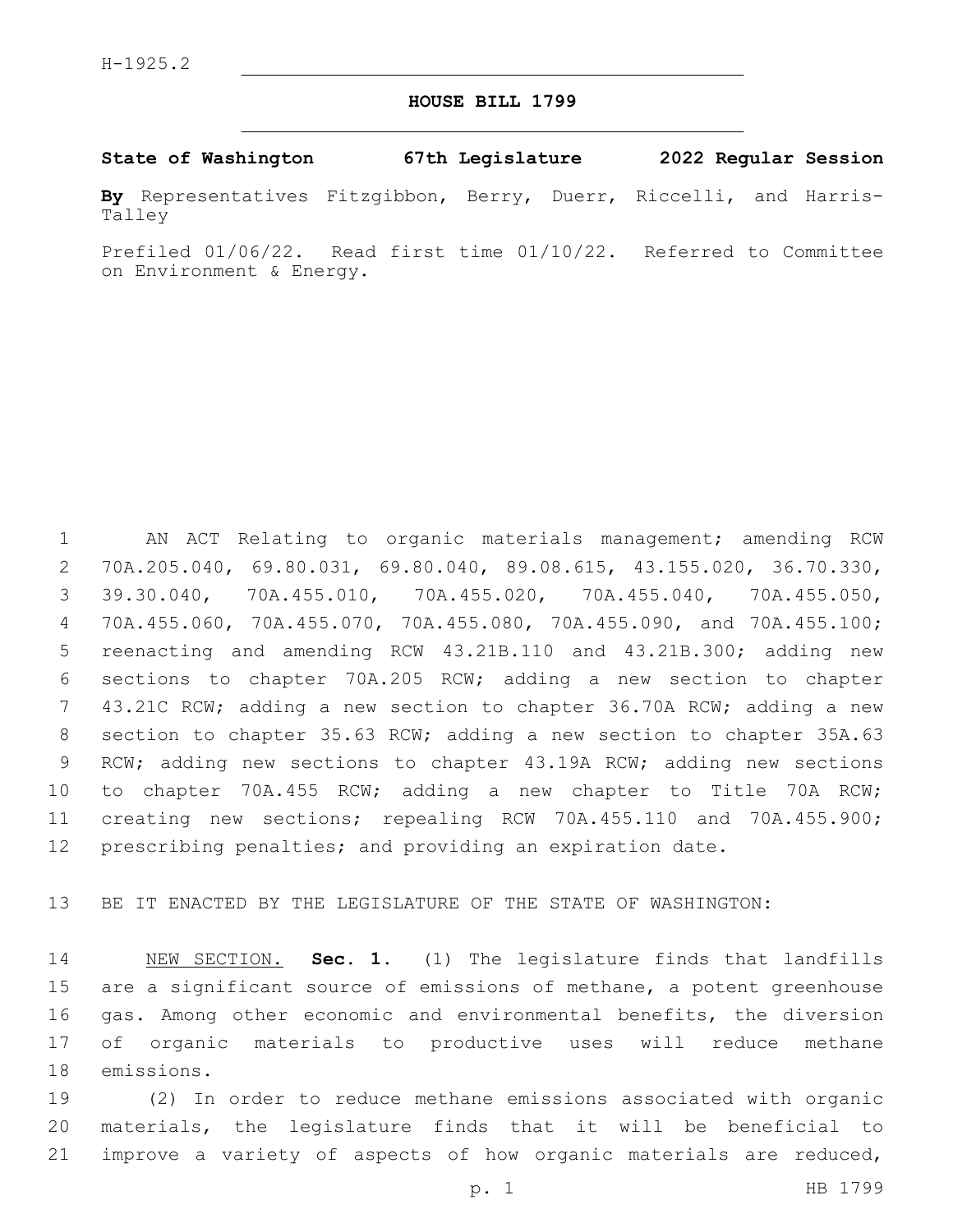### **HOUSE BILL 1799**

**State of Washington 67th Legislature 2022 Regular Session**

**By** Representatives Fitzgibbon, Berry, Duerr, Riccelli, and Harris-Talley

Prefiled 01/06/22. Read first time 01/10/22. Referred to Committee on Environment & Energy.

 AN ACT Relating to organic materials management; amending RCW 70A.205.040, 69.80.031, 69.80.040, 89.08.615, 43.155.020, 36.70.330, 39.30.040, 70A.455.010, 70A.455.020, 70A.455.040, 70A.455.050, 70A.455.060, 70A.455.070, 70A.455.080, 70A.455.090, and 70A.455.100; reenacting and amending RCW 43.21B.110 and 43.21B.300; adding new sections to chapter 70A.205 RCW; adding a new section to chapter 43.21C RCW; adding a new section to chapter 36.70A RCW; adding a new section to chapter 35.63 RCW; adding a new section to chapter 35A.63 RCW; adding new sections to chapter 43.19A RCW; adding new sections to chapter 70A.455 RCW; adding a new chapter to Title 70A RCW; creating new sections; repealing RCW 70A.455.110 and 70A.455.900; prescribing penalties; and providing an expiration date.

BE IT ENACTED BY THE LEGISLATURE OF THE STATE OF WASHINGTON:

 NEW SECTION. **Sec. 1.** (1) The legislature finds that landfills are a significant source of emissions of methane, a potent greenhouse gas. Among other economic and environmental benefits, the diversion of organic materials to productive uses will reduce methane emissions.

 (2) In order to reduce methane emissions associated with organic materials, the legislature finds that it will be beneficial to improve a variety of aspects of how organic materials are reduced,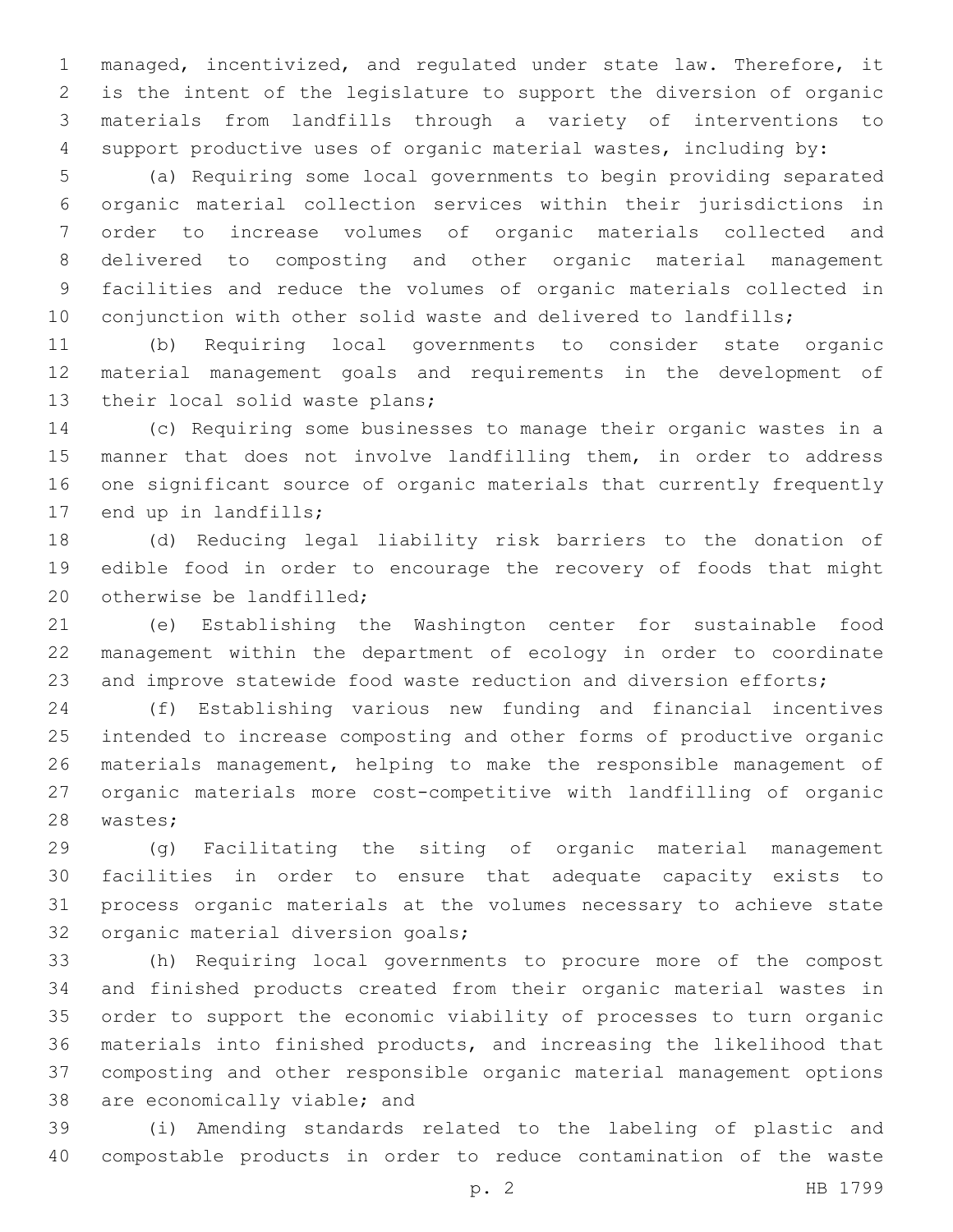managed, incentivized, and regulated under state law. Therefore, it is the intent of the legislature to support the diversion of organic materials from landfills through a variety of interventions to support productive uses of organic material wastes, including by:

 (a) Requiring some local governments to begin providing separated organic material collection services within their jurisdictions in order to increase volumes of organic materials collected and delivered to composting and other organic material management facilities and reduce the volumes of organic materials collected in conjunction with other solid waste and delivered to landfills;

 (b) Requiring local governments to consider state organic material management goals and requirements in the development of 13 their local solid waste plans;

 (c) Requiring some businesses to manage their organic wastes in a manner that does not involve landfilling them, in order to address one significant source of organic materials that currently frequently 17 end up in landfills;

 (d) Reducing legal liability risk barriers to the donation of edible food in order to encourage the recovery of foods that might 20 otherwise be landfilled;

 (e) Establishing the Washington center for sustainable food management within the department of ecology in order to coordinate 23 and improve statewide food waste reduction and diversion efforts;

 (f) Establishing various new funding and financial incentives intended to increase composting and other forms of productive organic materials management, helping to make the responsible management of organic materials more cost-competitive with landfilling of organic 28 wastes;

 (g) Facilitating the siting of organic material management facilities in order to ensure that adequate capacity exists to process organic materials at the volumes necessary to achieve state 32 organic material diversion goals;

 (h) Requiring local governments to procure more of the compost and finished products created from their organic material wastes in order to support the economic viability of processes to turn organic materials into finished products, and increasing the likelihood that composting and other responsible organic material management options 38 are economically viable; and

 (i) Amending standards related to the labeling of plastic and compostable products in order to reduce contamination of the waste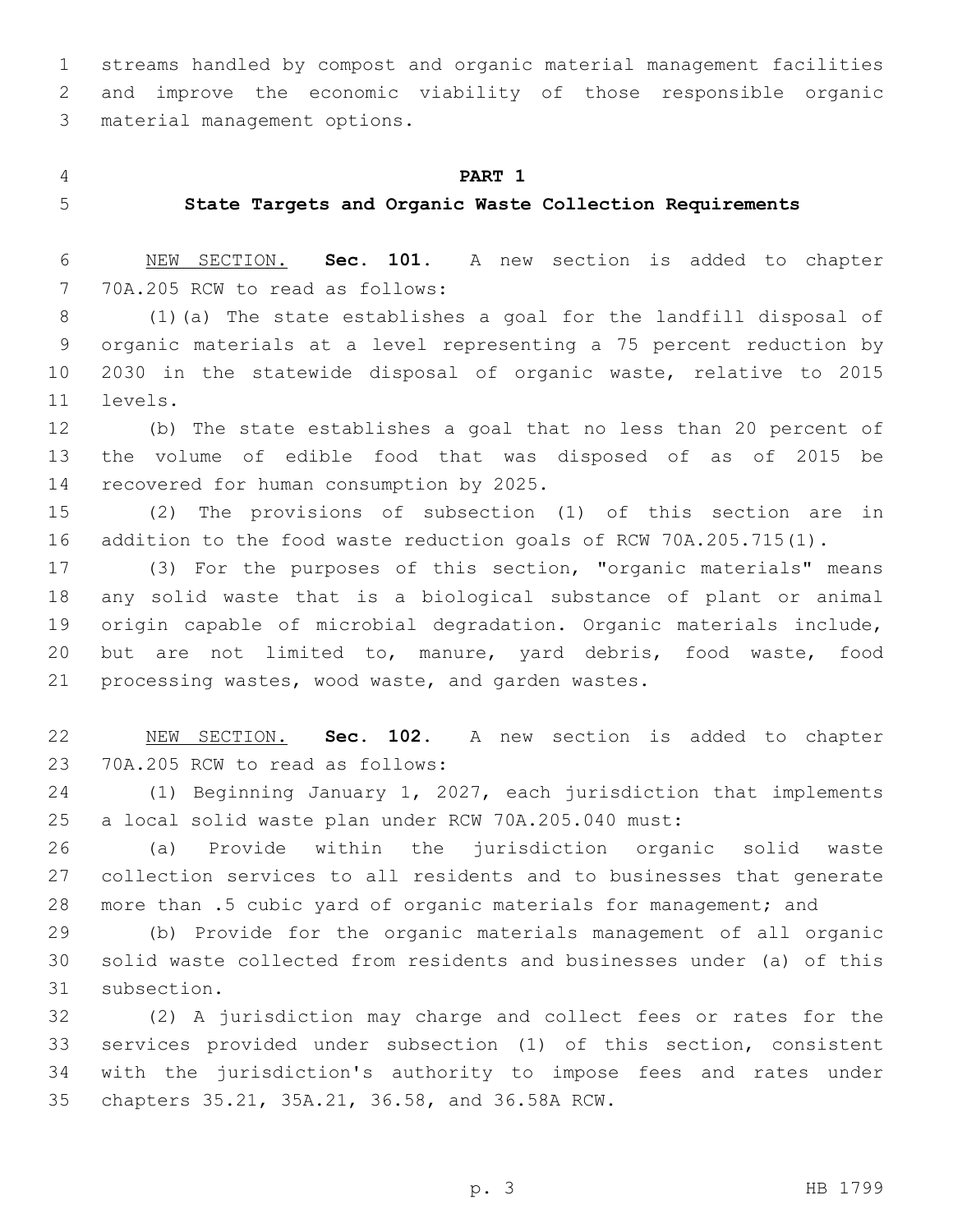streams handled by compost and organic material management facilities and improve the economic viability of those responsible organic 3 material management options.

### **PART 1**

### **State Targets and Organic Waste Collection Requirements**

 NEW SECTION. **Sec. 101.** A new section is added to chapter 7 70A.205 RCW to read as follows:

 (1)(a) The state establishes a goal for the landfill disposal of organic materials at a level representing a 75 percent reduction by 2030 in the statewide disposal of organic waste, relative to 2015 11 levels.

 (b) The state establishes a goal that no less than 20 percent of the volume of edible food that was disposed of as of 2015 be 14 recovered for human consumption by 2025.

 (2) The provisions of subsection (1) of this section are in addition to the food waste reduction goals of RCW 70A.205.715(1).

 (3) For the purposes of this section, "organic materials" means any solid waste that is a biological substance of plant or animal origin capable of microbial degradation. Organic materials include, but are not limited to, manure, yard debris, food waste, food 21 processing wastes, wood waste, and garden wastes.

 NEW SECTION. **Sec. 102.** A new section is added to chapter 23 70A.205 RCW to read as follows:

 (1) Beginning January 1, 2027, each jurisdiction that implements a local solid waste plan under RCW 70A.205.040 must:

 (a) Provide within the jurisdiction organic solid waste collection services to all residents and to businesses that generate more than .5 cubic yard of organic materials for management; and

 (b) Provide for the organic materials management of all organic solid waste collected from residents and businesses under (a) of this 31 subsection.

 (2) A jurisdiction may charge and collect fees or rates for the services provided under subsection (1) of this section, consistent with the jurisdiction's authority to impose fees and rates under 35 chapters 35.21, 35A.21, 36.58, and 36.58A RCW.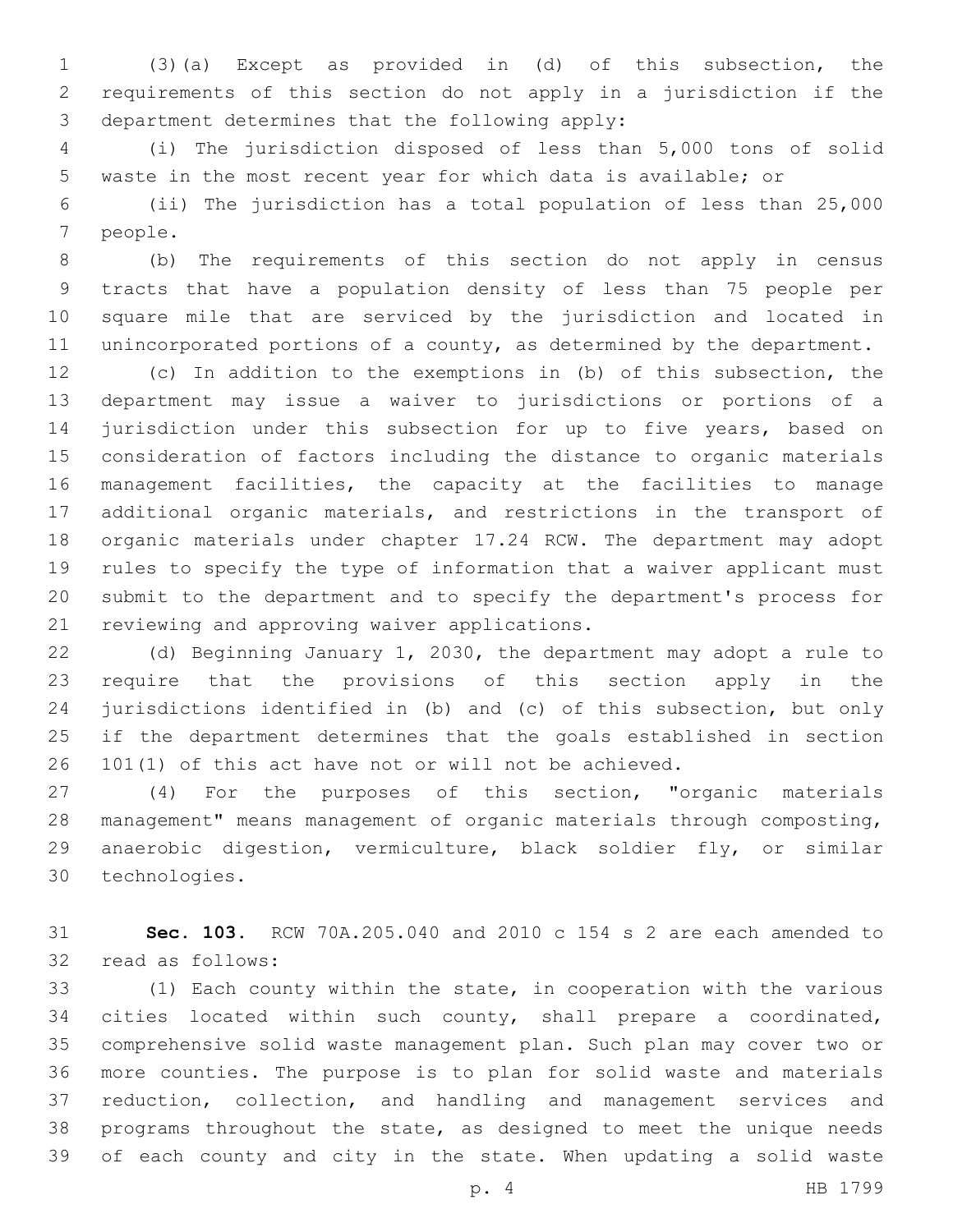(3)(a) Except as provided in (d) of this subsection, the requirements of this section do not apply in a jurisdiction if the 3 department determines that the following apply:

 (i) The jurisdiction disposed of less than 5,000 tons of solid waste in the most recent year for which data is available; or

 (ii) The jurisdiction has a total population of less than 25,000 7 people.

 (b) The requirements of this section do not apply in census tracts that have a population density of less than 75 people per square mile that are serviced by the jurisdiction and located in unincorporated portions of a county, as determined by the department.

 (c) In addition to the exemptions in (b) of this subsection, the department may issue a waiver to jurisdictions or portions of a 14 jurisdiction under this subsection for up to five years, based on consideration of factors including the distance to organic materials management facilities, the capacity at the facilities to manage additional organic materials, and restrictions in the transport of organic materials under chapter 17.24 RCW. The department may adopt rules to specify the type of information that a waiver applicant must submit to the department and to specify the department's process for 21 reviewing and approving waiver applications.

 (d) Beginning January 1, 2030, the department may adopt a rule to require that the provisions of this section apply in the jurisdictions identified in (b) and (c) of this subsection, but only if the department determines that the goals established in section 101(1) of this act have not or will not be achieved.

 (4) For the purposes of this section, "organic materials management" means management of organic materials through composting, anaerobic digestion, vermiculture, black soldier fly, or similar 30 technologies.

 **Sec. 103.** RCW 70A.205.040 and 2010 c 154 s 2 are each amended to 32 read as follows:

 (1) Each county within the state, in cooperation with the various cities located within such county, shall prepare a coordinated, comprehensive solid waste management plan. Such plan may cover two or more counties. The purpose is to plan for solid waste and materials reduction, collection, and handling and management services and programs throughout the state, as designed to meet the unique needs of each county and city in the state. When updating a solid waste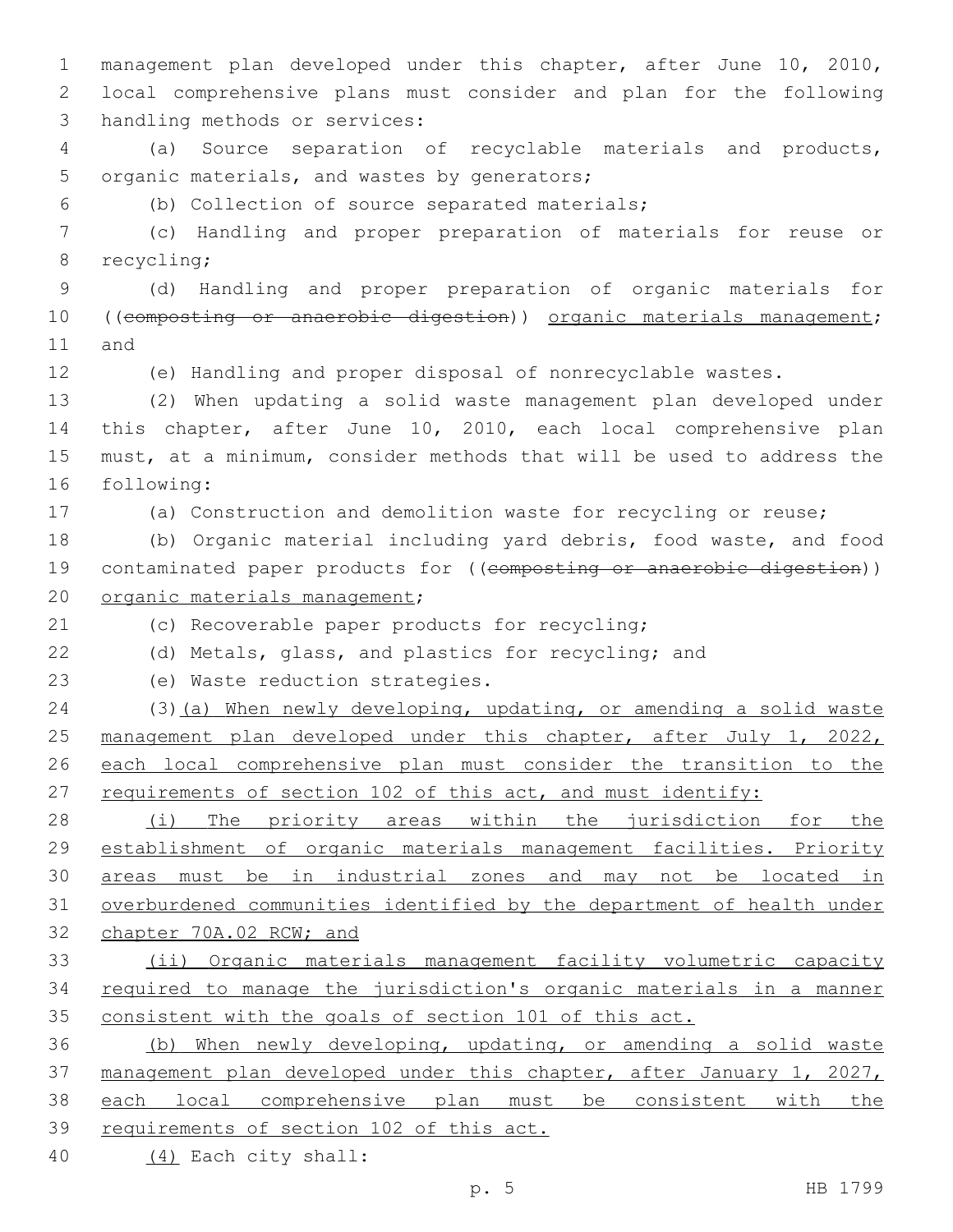1 management plan developed under this chapter, after June 10, 2010, 2 local comprehensive plans must consider and plan for the following 3 handling methods or services: 4 (a) Source separation of recyclable materials and products, 5 organic materials, and wastes by generators; (b) Collection of source separated materials;6 7 (c) Handling and proper preparation of materials for reuse or 8 recycling; 9 (d) Handling and proper preparation of organic materials for 10 ((composting or anaerobic digestion)) organic materials management; 11 and 12 (e) Handling and proper disposal of nonrecyclable wastes. 13 (2) When updating a solid waste management plan developed under 14 this chapter, after June 10, 2010, each local comprehensive plan 15 must, at a minimum, consider methods that will be used to address the 16 following: 17 (a) Construction and demolition waste for recycling or reuse; 18 (b) Organic material including yard debris, food waste, and food 19 contaminated paper products for ((composting or anaerobic digestion)) 20 organic materials management; 21 (c) Recoverable paper products for recycling; 22 (d) Metals, glass, and plastics for recycling; and 23 (e) Waste reduction strategies. 24 (3)(a) When newly developing, updating, or amending a solid waste 25 management plan developed under this chapter, after July 1, 2022, 26 each local comprehensive plan must consider the transition to the 27 requirements of section 102 of this act, and must identify: 28 (i) The priority areas within the jurisdiction for the 29 establishment of organic materials management facilities. Priority 30 areas must be in industrial zones and may not be located in 31 overburdened communities identified by the department of health under 32 chapter 70A.02 RCW; and 33 (ii) Organic materials management facility volumetric capacity 34 required to manage the jurisdiction's organic materials in a manner 35 consistent with the goals of section 101 of this act. 36 (b) When newly developing, updating, or amending a solid waste 37 management plan developed under this chapter, after January 1, 2027, 38 each local comprehensive plan must be consistent with the 39 requirements of section 102 of this act. (4) Each city shall:40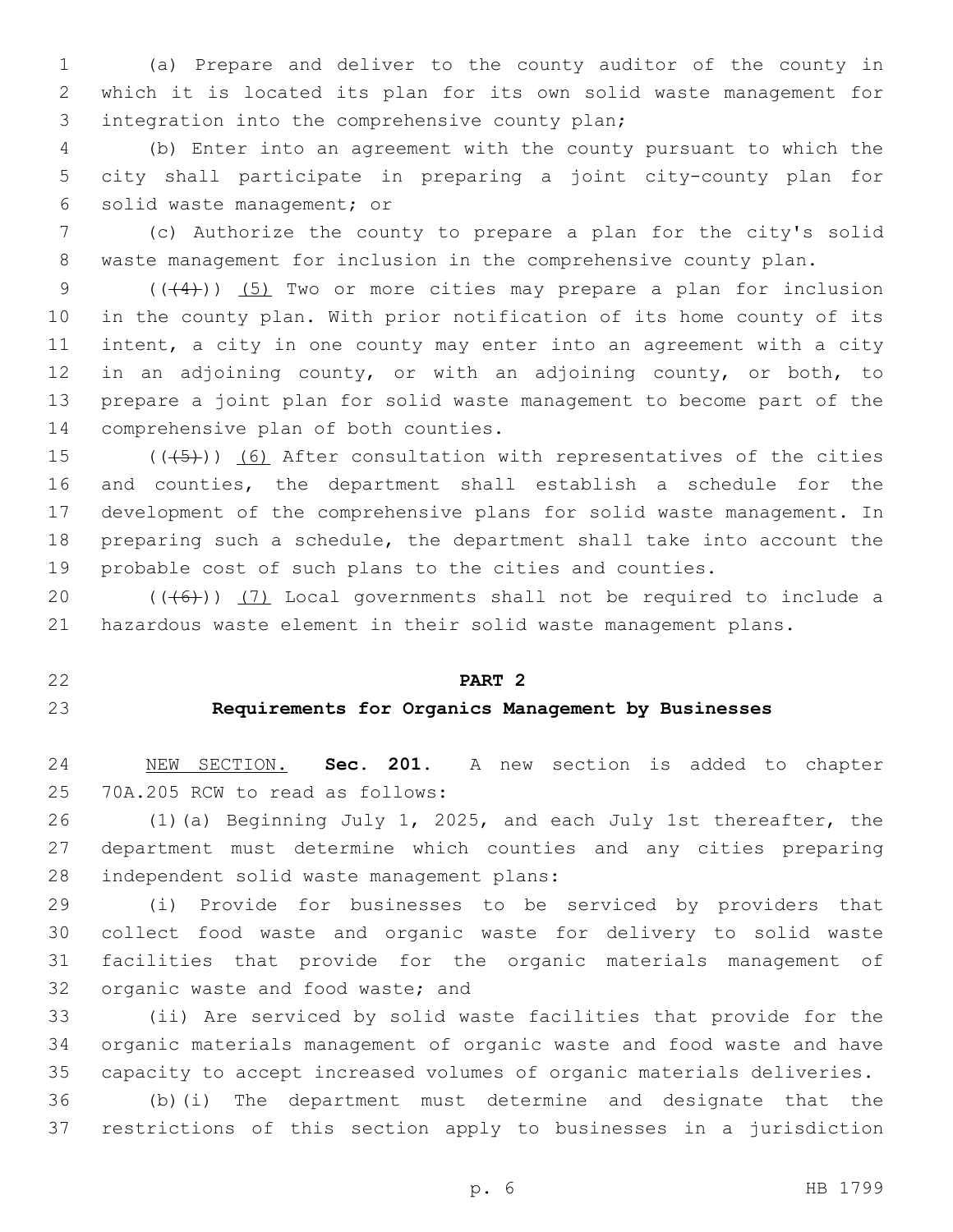(a) Prepare and deliver to the county auditor of the county in which it is located its plan for its own solid waste management for 3 integration into the comprehensive county plan;

 (b) Enter into an agreement with the county pursuant to which the city shall participate in preparing a joint city-county plan for 6 solid waste management; or

 (c) Authorize the county to prepare a plan for the city's solid waste management for inclusion in the comprehensive county plan.

 $((+4))$   $(5)$  Two or more cities may prepare a plan for inclusion in the county plan. With prior notification of its home county of its intent, a city in one county may enter into an agreement with a city in an adjoining county, or with an adjoining county, or both, to prepare a joint plan for solid waste management to become part of the 14 comprehensive plan of both counties.

 $((+5+))$  (6) After consultation with representatives of the cities and counties, the department shall establish a schedule for the development of the comprehensive plans for solid waste management. In preparing such a schedule, the department shall take into account the probable cost of such plans to the cities and counties.

20  $((+6))$   $(7)$  Local governments shall not be required to include a hazardous waste element in their solid waste management plans.

**PART 2**

## **Requirements for Organics Management by Businesses**

 NEW SECTION. **Sec. 201.** A new section is added to chapter 25 70A.205 RCW to read as follows:

 (1)(a) Beginning July 1, 2025, and each July 1st thereafter, the department must determine which counties and any cities preparing 28 independent solid waste management plans:

 (i) Provide for businesses to be serviced by providers that collect food waste and organic waste for delivery to solid waste facilities that provide for the organic materials management of 32 organic waste and food waste; and

 (ii) Are serviced by solid waste facilities that provide for the organic materials management of organic waste and food waste and have capacity to accept increased volumes of organic materials deliveries.

 (b)(i) The department must determine and designate that the restrictions of this section apply to businesses in a jurisdiction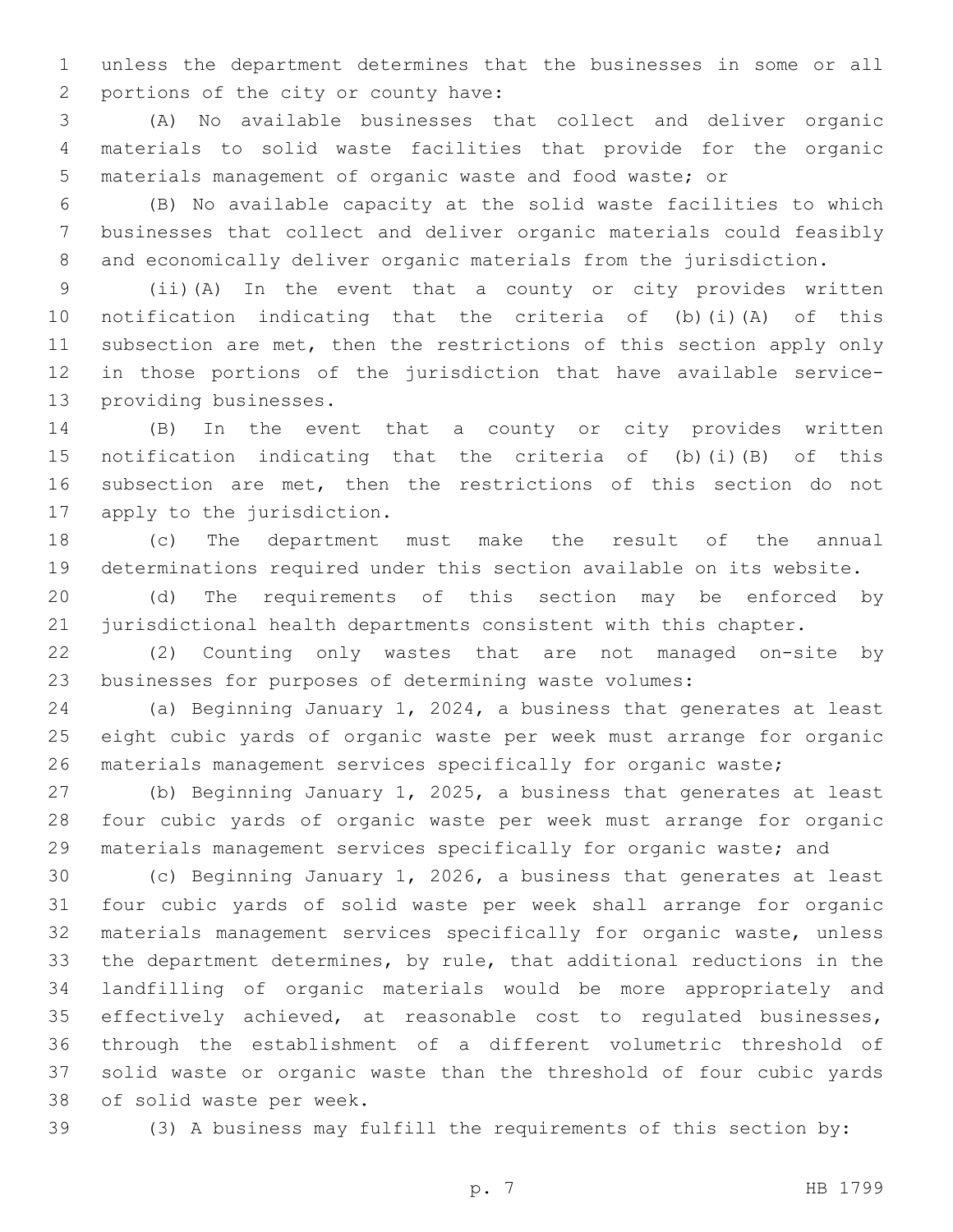unless the department determines that the businesses in some or all 2 portions of the city or county have:

 (A) No available businesses that collect and deliver organic materials to solid waste facilities that provide for the organic materials management of organic waste and food waste; or

 (B) No available capacity at the solid waste facilities to which businesses that collect and deliver organic materials could feasibly and economically deliver organic materials from the jurisdiction.

 (ii)(A) In the event that a county or city provides written notification indicating that the criteria of (b)(i)(A) of this 11 subsection are met, then the restrictions of this section apply only in those portions of the jurisdiction that have available service-13 providing businesses.

 (B) In the event that a county or city provides written notification indicating that the criteria of (b)(i)(B) of this subsection are met, then the restrictions of this section do not 17 apply to the jurisdiction.

 (c) The department must make the result of the annual determinations required under this section available on its website.

 (d) The requirements of this section may be enforced by jurisdictional health departments consistent with this chapter.

 (2) Counting only wastes that are not managed on-site by businesses for purposes of determining waste volumes:

 (a) Beginning January 1, 2024, a business that generates at least eight cubic yards of organic waste per week must arrange for organic materials management services specifically for organic waste;

 (b) Beginning January 1, 2025, a business that generates at least four cubic yards of organic waste per week must arrange for organic materials management services specifically for organic waste; and

 (c) Beginning January 1, 2026, a business that generates at least four cubic yards of solid waste per week shall arrange for organic materials management services specifically for organic waste, unless the department determines, by rule, that additional reductions in the landfilling of organic materials would be more appropriately and effectively achieved, at reasonable cost to regulated businesses, through the establishment of a different volumetric threshold of solid waste or organic waste than the threshold of four cubic yards 38 of solid waste per week.

(3) A business may fulfill the requirements of this section by: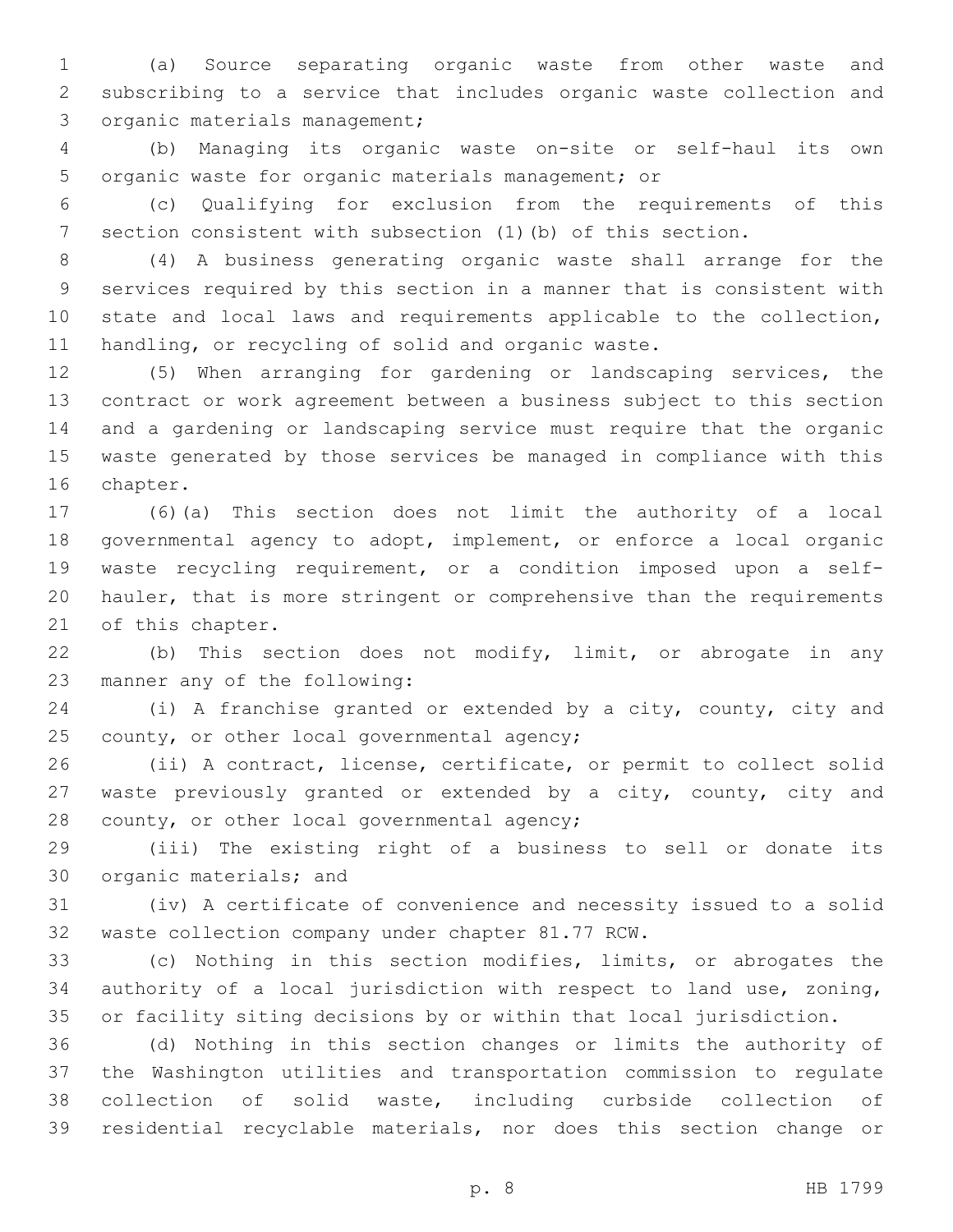(a) Source separating organic waste from other waste and subscribing to a service that includes organic waste collection and 3 organic materials management;

 (b) Managing its organic waste on-site or self-haul its own 5 organic waste for organic materials management; or

 (c) Qualifying for exclusion from the requirements of this section consistent with subsection (1)(b) of this section.

 (4) A business generating organic waste shall arrange for the services required by this section in a manner that is consistent with state and local laws and requirements applicable to the collection, handling, or recycling of solid and organic waste.

 (5) When arranging for gardening or landscaping services, the contract or work agreement between a business subject to this section and a gardening or landscaping service must require that the organic waste generated by those services be managed in compliance with this 16 chapter.

 (6)(a) This section does not limit the authority of a local governmental agency to adopt, implement, or enforce a local organic waste recycling requirement, or a condition imposed upon a self- hauler, that is more stringent or comprehensive than the requirements 21 of this chapter.

 (b) This section does not modify, limit, or abrogate in any 23 manner any of the following:

 (i) A franchise granted or extended by a city, county, city and 25 county, or other local governmental agency;

 (ii) A contract, license, certificate, or permit to collect solid waste previously granted or extended by a city, county, city and 28 county, or other local governmental agency;

 (iii) The existing right of a business to sell or donate its 30 organic materials; and

 (iv) A certificate of convenience and necessity issued to a solid 32 waste collection company under chapter 81.77 RCW.

 (c) Nothing in this section modifies, limits, or abrogates the authority of a local jurisdiction with respect to land use, zoning, or facility siting decisions by or within that local jurisdiction.

 (d) Nothing in this section changes or limits the authority of the Washington utilities and transportation commission to regulate collection of solid waste, including curbside collection of residential recyclable materials, nor does this section change or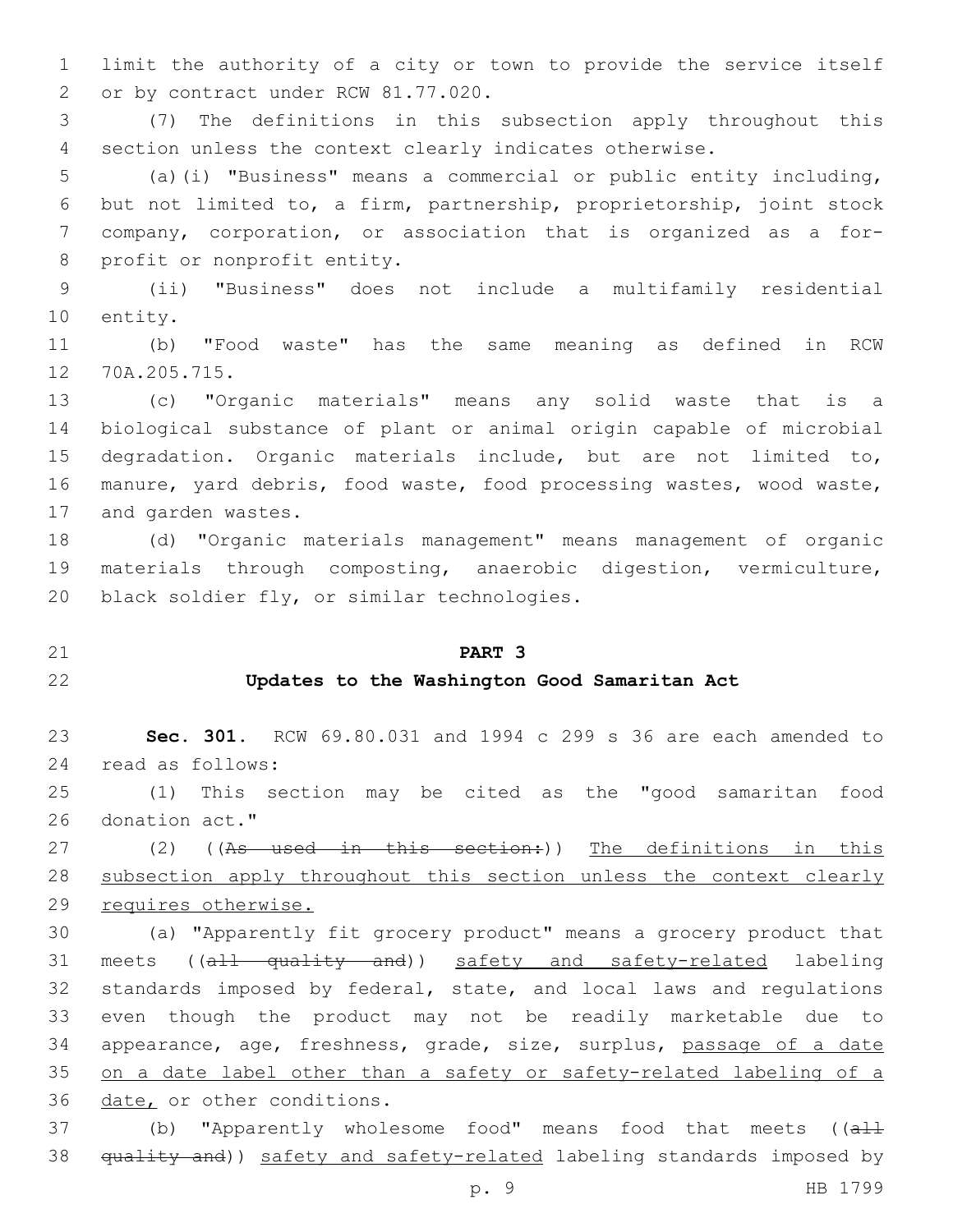limit the authority of a city or town to provide the service itself 2 or by contract under RCW 81.77.020.

 (7) The definitions in this subsection apply throughout this section unless the context clearly indicates otherwise.

 (a)(i) "Business" means a commercial or public entity including, but not limited to, a firm, partnership, proprietorship, joint stock company, corporation, or association that is organized as a for-8 profit or nonprofit entity.

 (ii) "Business" does not include a multifamily residential 10 entity.

 (b) "Food waste" has the same meaning as defined in RCW 70A.205.715.12

 (c) "Organic materials" means any solid waste that is a biological substance of plant or animal origin capable of microbial degradation. Organic materials include, but are not limited to, manure, yard debris, food waste, food processing wastes, wood waste, 17 and garden wastes.

 (d) "Organic materials management" means management of organic materials through composting, anaerobic digestion, vermiculture, 20 black soldier fly, or similar technologies.

### **PART 3**

### **Updates to the Washington Good Samaritan Act**

 **Sec. 301.** RCW 69.80.031 and 1994 c 299 s 36 are each amended to read as follows:24

 (1) This section may be cited as the "good samaritan food 26 donation act."

27 (2) ((As used in this section:)) The definitions in this 28 subsection apply throughout this section unless the context clearly requires otherwise.

 (a) "Apparently fit grocery product" means a grocery product that 31 meets ((all quality and)) safety and safety-related labeling standards imposed by federal, state, and local laws and regulations even though the product may not be readily marketable due to appearance, age, freshness, grade, size, surplus, passage of a date on a date label other than a safety or safety-related labeling of a 36 date, or other conditions.

37 (b) "Apparently wholesome food" means food that meets ((all 38 quality and)) safety and safety-related labeling standards imposed by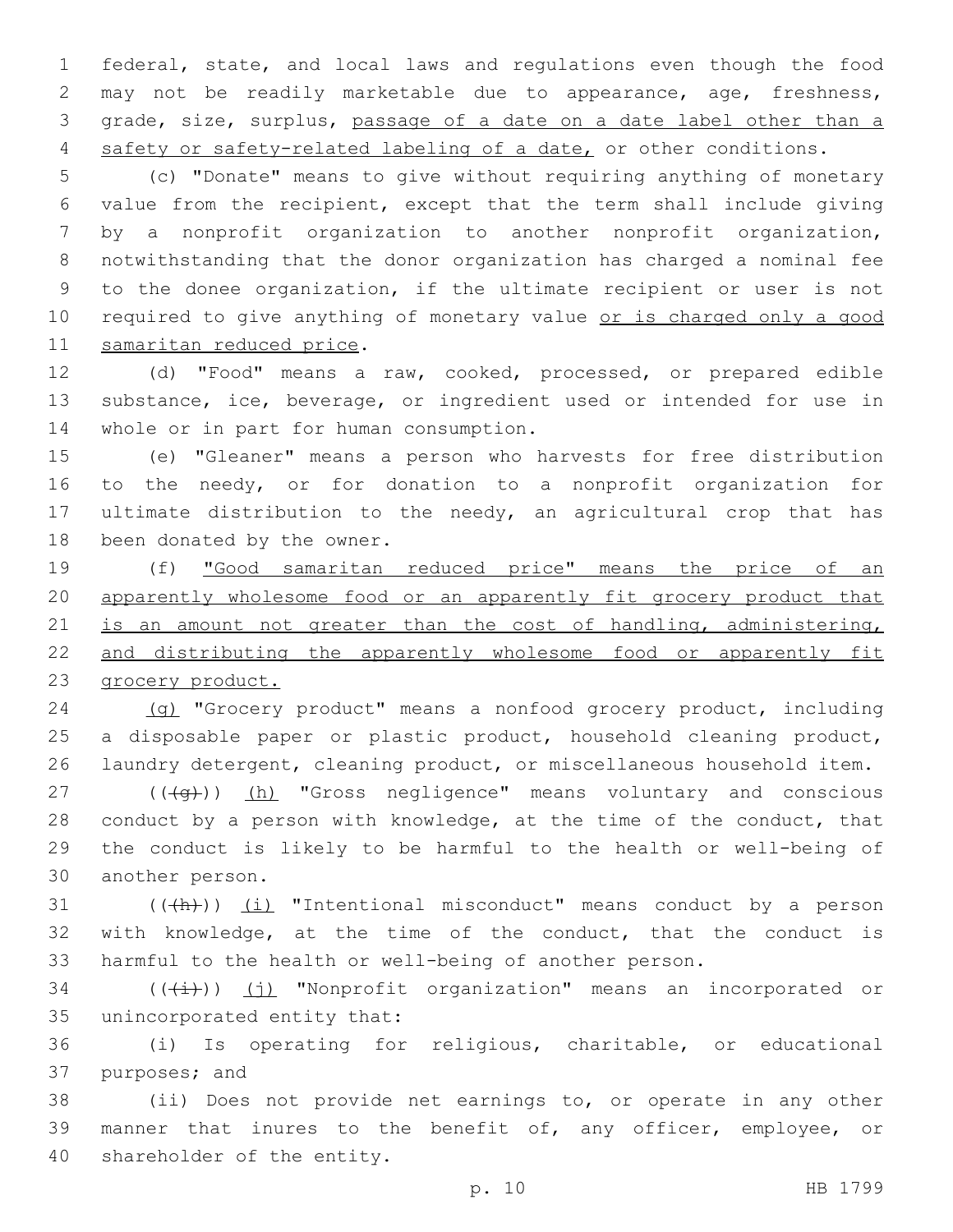federal, state, and local laws and regulations even though the food may not be readily marketable due to appearance, age, freshness, grade, size, surplus, passage of a date on a date label other than a safety or safety-related labeling of a date, or other conditions.

 (c) "Donate" means to give without requiring anything of monetary value from the recipient, except that the term shall include giving by a nonprofit organization to another nonprofit organization, notwithstanding that the donor organization has charged a nominal fee to the donee organization, if the ultimate recipient or user is not 10 required to give anything of monetary value or is charged only a good 11 samaritan reduced price.

 (d) "Food" means a raw, cooked, processed, or prepared edible substance, ice, beverage, or ingredient used or intended for use in 14 whole or in part for human consumption.

 (e) "Gleaner" means a person who harvests for free distribution to the needy, or for donation to a nonprofit organization for ultimate distribution to the needy, an agricultural crop that has 18 been donated by the owner.

 (f) "Good samaritan reduced price" means the price of an apparently wholesome food or an apparently fit grocery product that 21 is an amount not greater than the cost of handling, administering, 22 and distributing the apparently wholesome food or apparently fit grocery product.

 (g) "Grocery product" means a nonfood grocery product, including a disposable paper or plastic product, household cleaning product, laundry detergent, cleaning product, or miscellaneous household item.

27 (((4g)) (h) "Gross negligence" means voluntary and conscious conduct by a person with knowledge, at the time of the conduct, that the conduct is likely to be harmful to the health or well-being of 30 another person.

 (( $\frac{h}{h}$ )) (i) "Intentional misconduct" means conduct by a person with knowledge, at the time of the conduct, that the conduct is harmful to the health or well-being of another person.

 (( $(\frac{1}{1})$ ) (j) "Nonprofit organization" means an incorporated or 35 unincorporated entity that:

 (i) Is operating for religious, charitable, or educational 37 purposes; and

 (ii) Does not provide net earnings to, or operate in any other manner that inures to the benefit of, any officer, employee, or 40 shareholder of the entity.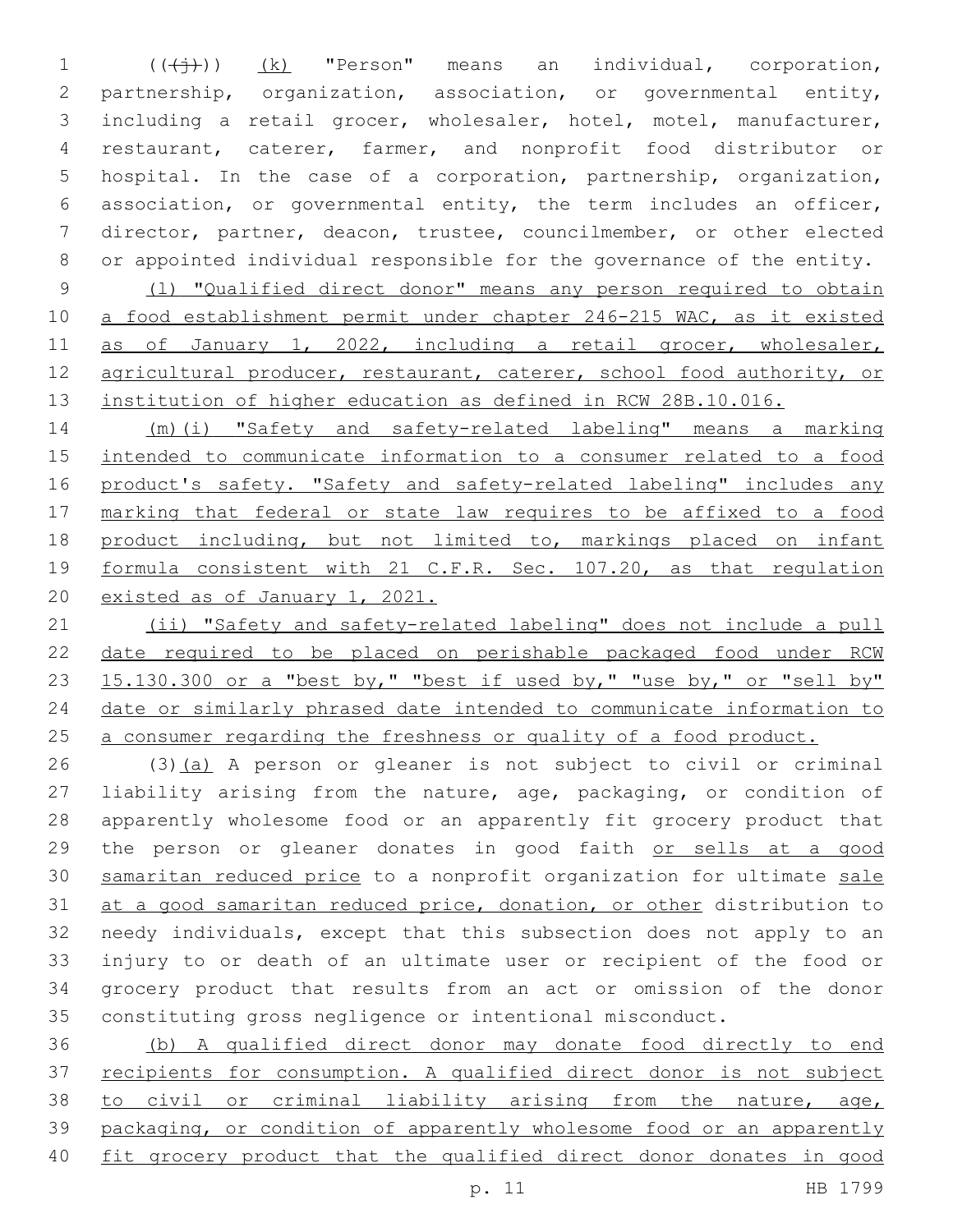$((\leftrightarrow))$  (k) "Person" means an individual, corporation, partnership, organization, association, or governmental entity, including a retail grocer, wholesaler, hotel, motel, manufacturer, restaurant, caterer, farmer, and nonprofit food distributor or hospital. In the case of a corporation, partnership, organization, association, or governmental entity, the term includes an officer, director, partner, deacon, trustee, councilmember, or other elected or appointed individual responsible for the governance of the entity.

 (l) "Qualified direct donor" means any person required to obtain a food establishment permit under chapter 246-215 WAC, as it existed as of January 1, 2022, including a retail grocer, wholesaler, 12 agricultural producer, restaurant, caterer, school food authority, or institution of higher education as defined in RCW 28B.10.016.

 (m)(i) "Safety and safety-related labeling" means a marking intended to communicate information to a consumer related to a food 16 product's safety. "Safety and safety-related labeling" includes any marking that federal or state law requires to be affixed to a food product including, but not limited to, markings placed on infant 19 formula consistent with 21 C.F.R. Sec. 107.20, as that regulation existed as of January 1, 2021.

 (ii) "Safety and safety-related labeling" does not include a pull 22 date required to be placed on perishable packaged food under RCW 15.130.300 or a "best by," "best if used by," "use by," or "sell by" date or similarly phrased date intended to communicate information to 25 a consumer regarding the freshness or quality of a food product.

 (3)(a) A person or gleaner is not subject to civil or criminal liability arising from the nature, age, packaging, or condition of apparently wholesome food or an apparently fit grocery product that the person or gleaner donates in good faith or sells at a good samaritan reduced price to a nonprofit organization for ultimate sale at a good samaritan reduced price, donation, or other distribution to needy individuals, except that this subsection does not apply to an injury to or death of an ultimate user or recipient of the food or grocery product that results from an act or omission of the donor constituting gross negligence or intentional misconduct.

 (b) A qualified direct donor may donate food directly to end recipients for consumption. A qualified direct donor is not subject 38 to civil or criminal liability arising from the nature, age, packaging, or condition of apparently wholesome food or an apparently fit grocery product that the qualified direct donor donates in good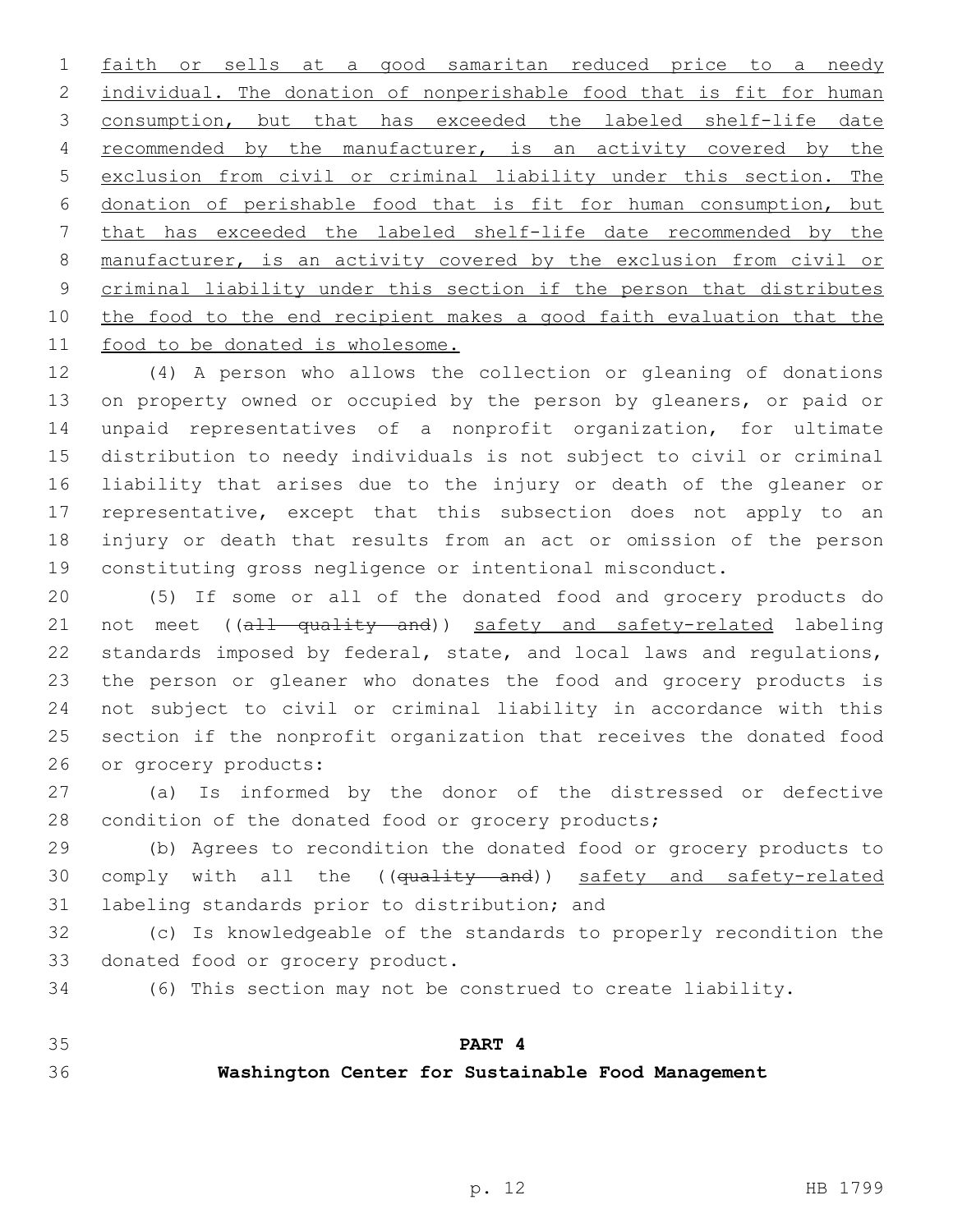faith or sells at a good samaritan reduced price to a needy individual. The donation of nonperishable food that is fit for human consumption, but that has exceeded the labeled shelf-life date recommended by the manufacturer, is an activity covered by the exclusion from civil or criminal liability under this section. The donation of perishable food that is fit for human consumption, but that has exceeded the labeled shelf-life date recommended by the manufacturer, is an activity covered by the exclusion from civil or criminal liability under this section if the person that distributes the food to the end recipient makes a good faith evaluation that the 11 food to be donated is wholesome.

 (4) A person who allows the collection or gleaning of donations on property owned or occupied by the person by gleaners, or paid or unpaid representatives of a nonprofit organization, for ultimate distribution to needy individuals is not subject to civil or criminal liability that arises due to the injury or death of the gleaner or representative, except that this subsection does not apply to an injury or death that results from an act or omission of the person constituting gross negligence or intentional misconduct.

 (5) If some or all of the donated food and grocery products do 21 not meet ((all quality and)) safety and safety-related labeling standards imposed by federal, state, and local laws and regulations, the person or gleaner who donates the food and grocery products is not subject to civil or criminal liability in accordance with this section if the nonprofit organization that receives the donated food 26 or grocery products:

 (a) Is informed by the donor of the distressed or defective 28 condition of the donated food or grocery products;

 (b) Agrees to recondition the donated food or grocery products to 30 comply with all the ((quality and)) safety and safety-related 31 labeling standards prior to distribution; and

 (c) Is knowledgeable of the standards to properly recondition the 33 donated food or grocery product.

(6) This section may not be construed to create liability.

**PART 4**

**Washington Center for Sustainable Food Management**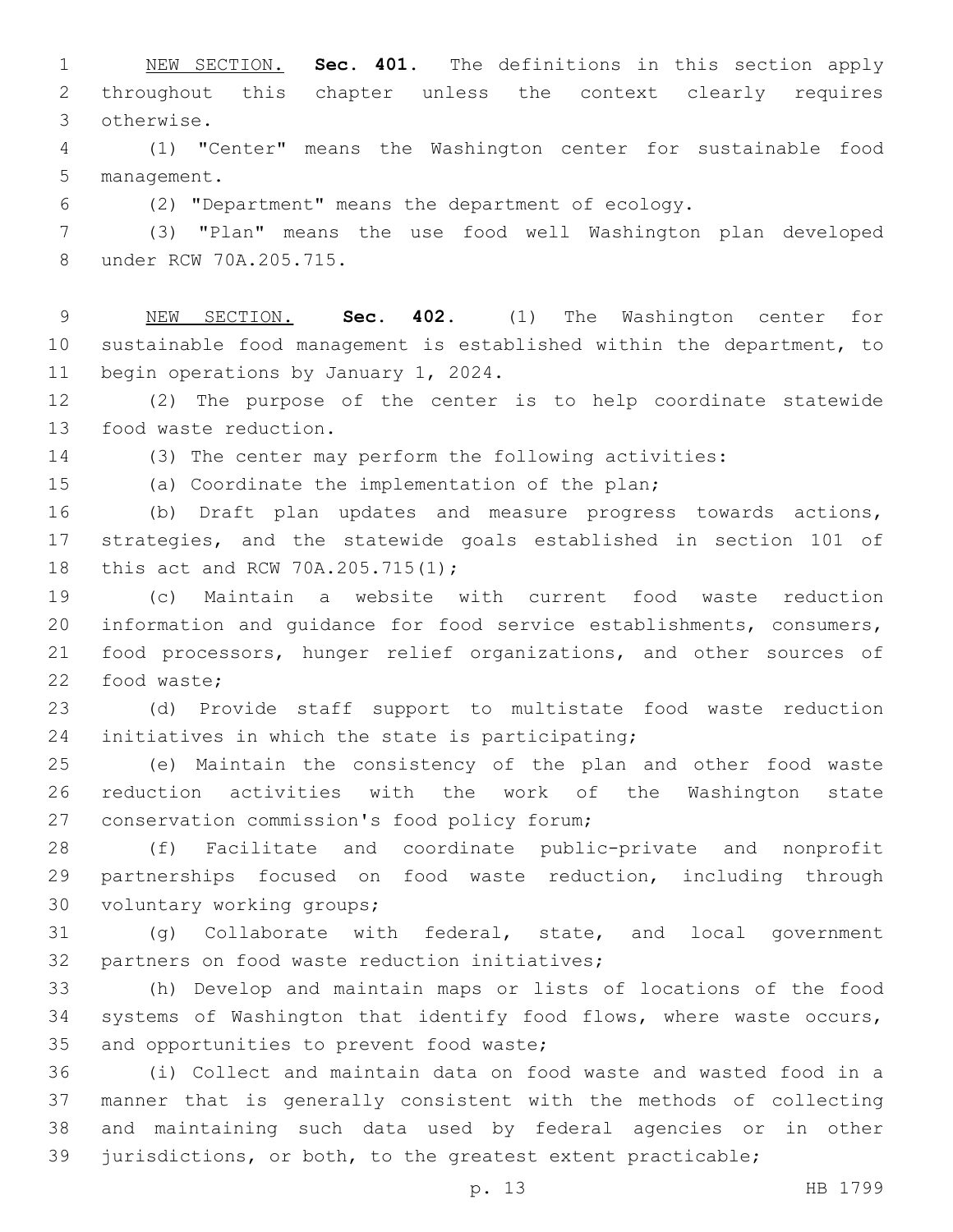NEW SECTION. **Sec. 401.** The definitions in this section apply throughout this chapter unless the context clearly requires otherwise.

 (1) "Center" means the Washington center for sustainable food 5 management.

(2) "Department" means the department of ecology.

 (3) "Plan" means the use food well Washington plan developed 8 under RCW 70A.205.715.

 NEW SECTION. **Sec. 402.** (1) The Washington center for sustainable food management is established within the department, to begin operations by January 1, 2024.

 (2) The purpose of the center is to help coordinate statewide 13 food waste reduction.

(3) The center may perform the following activities:

(a) Coordinate the implementation of the plan;

 (b) Draft plan updates and measure progress towards actions, strategies, and the statewide goals established in section 101 of 18 this act and RCW 70A.205.715(1);

 (c) Maintain a website with current food waste reduction information and guidance for food service establishments, consumers, food processors, hunger relief organizations, and other sources of 22 food waste:

 (d) Provide staff support to multistate food waste reduction 24 initiatives in which the state is participating;

 (e) Maintain the consistency of the plan and other food waste reduction activities with the work of the Washington state 27 conservation commission's food policy forum;

 (f) Facilitate and coordinate public-private and nonprofit partnerships focused on food waste reduction, including through 30 voluntary working groups;

 (g) Collaborate with federal, state, and local government 32 partners on food waste reduction initiatives;

 (h) Develop and maintain maps or lists of locations of the food systems of Washington that identify food flows, where waste occurs, 35 and opportunities to prevent food waste;

 (i) Collect and maintain data on food waste and wasted food in a manner that is generally consistent with the methods of collecting and maintaining such data used by federal agencies or in other jurisdictions, or both, to the greatest extent practicable;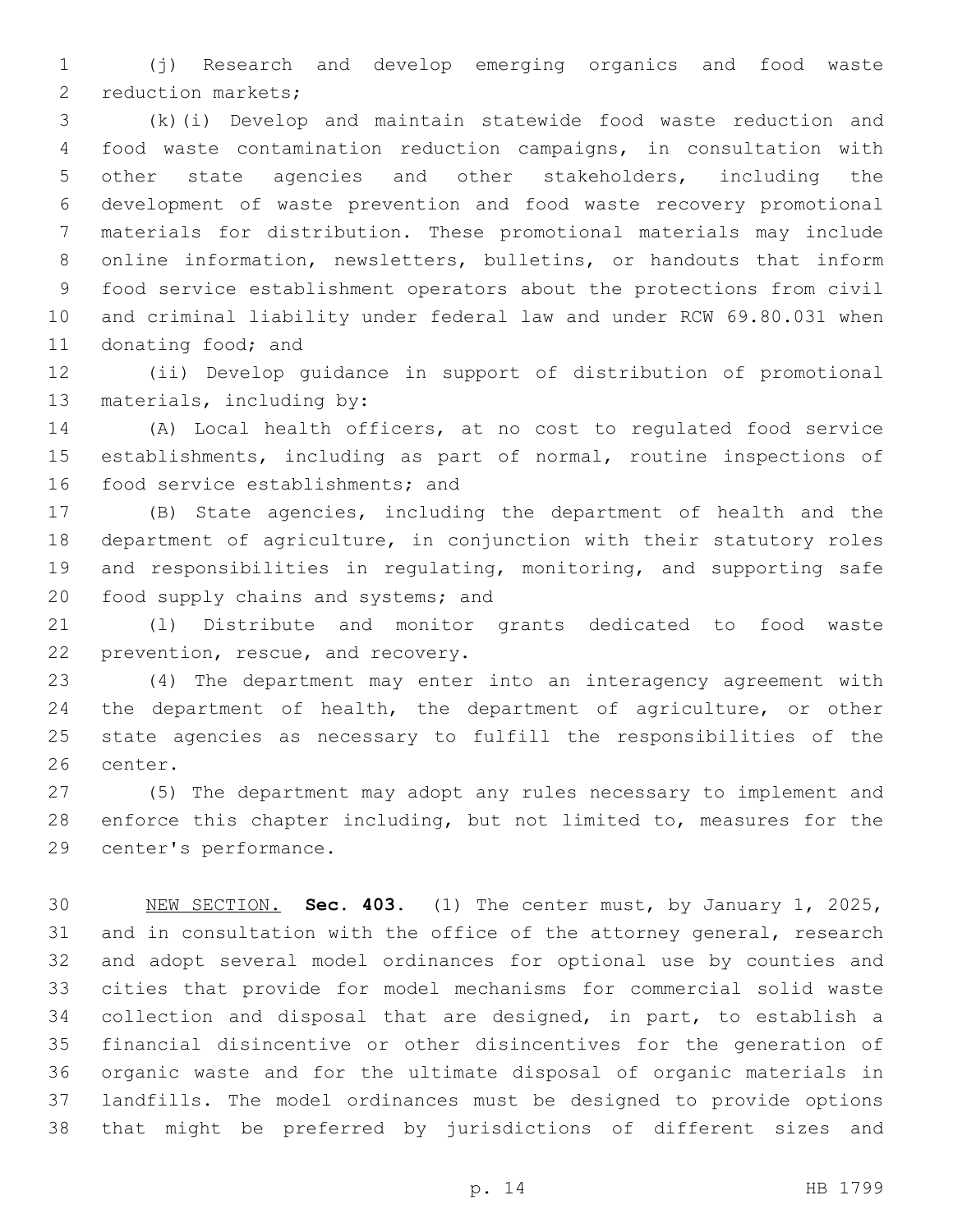(j) Research and develop emerging organics and food waste 2 reduction markets;

 (k)(i) Develop and maintain statewide food waste reduction and food waste contamination reduction campaigns, in consultation with other state agencies and other stakeholders, including the development of waste prevention and food waste recovery promotional materials for distribution. These promotional materials may include online information, newsletters, bulletins, or handouts that inform food service establishment operators about the protections from civil and criminal liability under federal law and under RCW 69.80.031 when 11 donating food; and

 (ii) Develop guidance in support of distribution of promotional 13 materials, including by:

 (A) Local health officers, at no cost to regulated food service establishments, including as part of normal, routine inspections of 16 food service establishments; and

 (B) State agencies, including the department of health and the department of agriculture, in conjunction with their statutory roles and responsibilities in regulating, monitoring, and supporting safe 20 food supply chains and systems; and

 (l) Distribute and monitor grants dedicated to food waste 22 prevention, rescue, and recovery.

 (4) The department may enter into an interagency agreement with the department of health, the department of agriculture, or other state agencies as necessary to fulfill the responsibilities of the 26 center.

 (5) The department may adopt any rules necessary to implement and enforce this chapter including, but not limited to, measures for the 29 center's performance.

 NEW SECTION. **Sec. 403.** (1) The center must, by January 1, 2025, 31 and in consultation with the office of the attorney general, research and adopt several model ordinances for optional use by counties and cities that provide for model mechanisms for commercial solid waste collection and disposal that are designed, in part, to establish a financial disincentive or other disincentives for the generation of organic waste and for the ultimate disposal of organic materials in landfills. The model ordinances must be designed to provide options that might be preferred by jurisdictions of different sizes and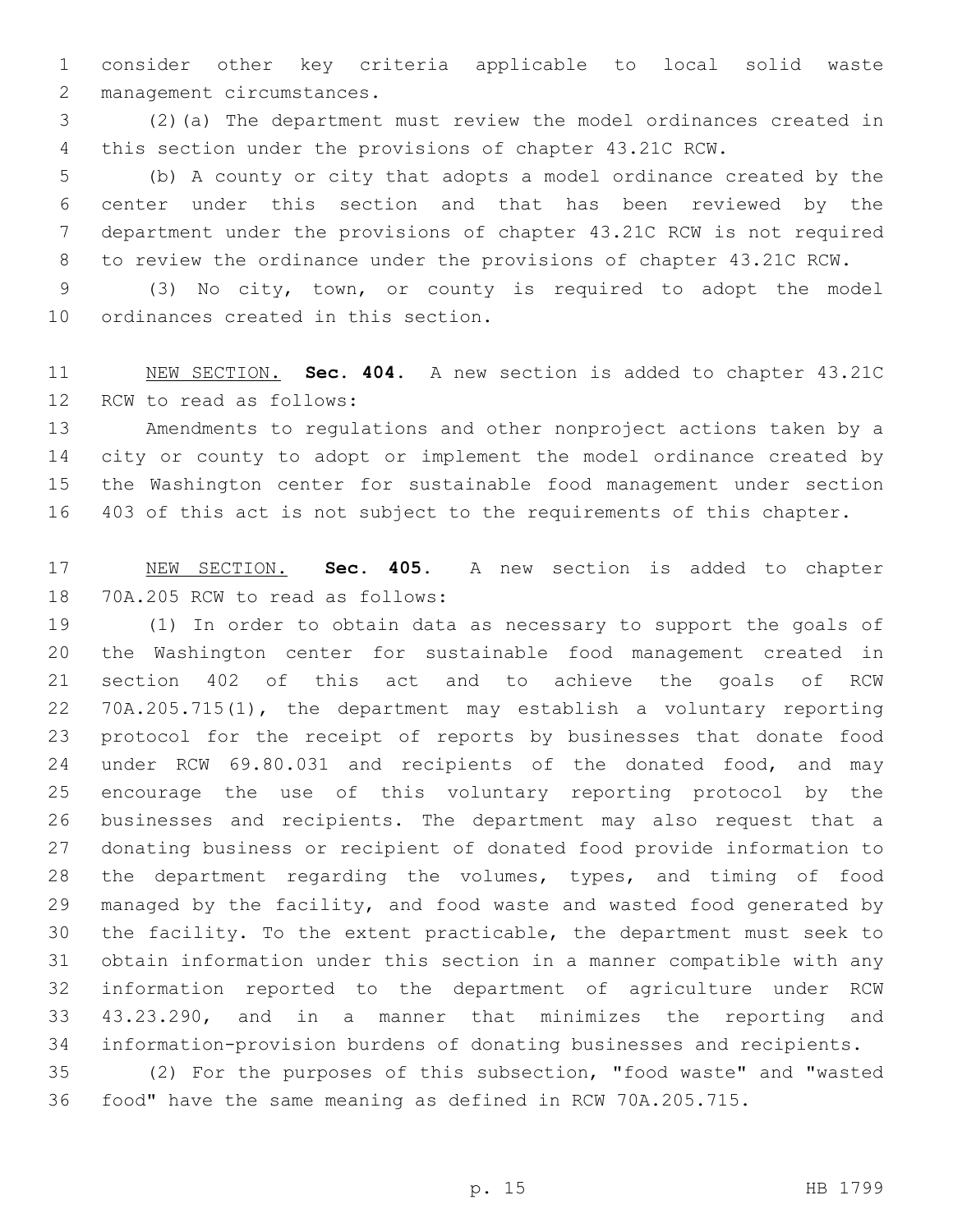consider other key criteria applicable to local solid waste 2 management circumstances.

 (2)(a) The department must review the model ordinances created in this section under the provisions of chapter 43.21C RCW.

 (b) A county or city that adopts a model ordinance created by the center under this section and that has been reviewed by the department under the provisions of chapter 43.21C RCW is not required to review the ordinance under the provisions of chapter 43.21C RCW.

 (3) No city, town, or county is required to adopt the model 10 ordinances created in this section.

 NEW SECTION. **Sec. 404.** A new section is added to chapter 43.21C 12 RCW to read as follows:

 Amendments to regulations and other nonproject actions taken by a city or county to adopt or implement the model ordinance created by the Washington center for sustainable food management under section 403 of this act is not subject to the requirements of this chapter.

 NEW SECTION. **Sec. 405.** A new section is added to chapter 18 70A.205 RCW to read as follows:

 (1) In order to obtain data as necessary to support the goals of the Washington center for sustainable food management created in section 402 of this act and to achieve the goals of RCW 70A.205.715(1), the department may establish a voluntary reporting protocol for the receipt of reports by businesses that donate food under RCW 69.80.031 and recipients of the donated food, and may encourage the use of this voluntary reporting protocol by the businesses and recipients. The department may also request that a donating business or recipient of donated food provide information to the department regarding the volumes, types, and timing of food managed by the facility, and food waste and wasted food generated by the facility. To the extent practicable, the department must seek to obtain information under this section in a manner compatible with any information reported to the department of agriculture under RCW 43.23.290, and in a manner that minimizes the reporting and information-provision burdens of donating businesses and recipients.

 (2) For the purposes of this subsection, "food waste" and "wasted food" have the same meaning as defined in RCW 70A.205.715.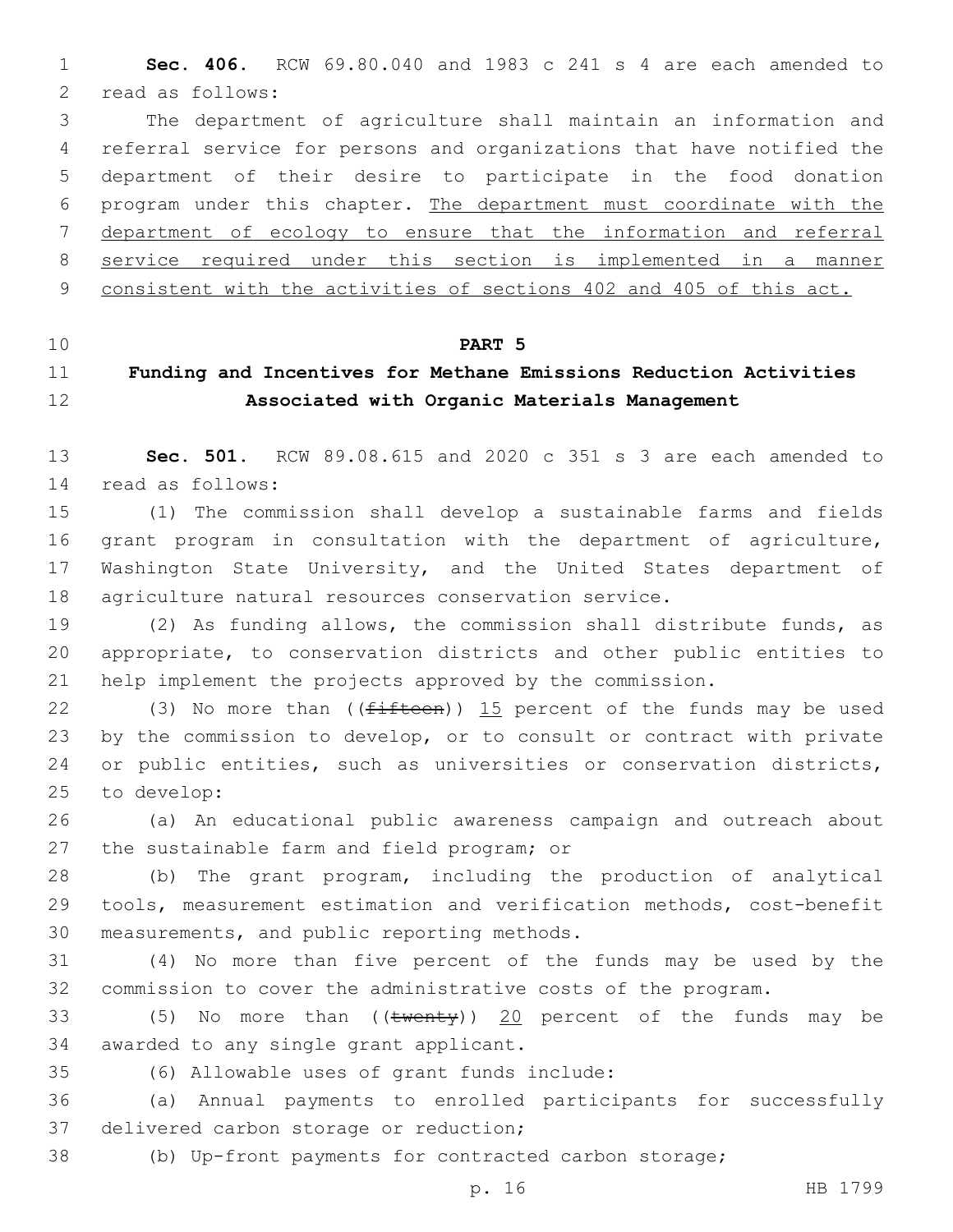**Sec. 406.** RCW 69.80.040 and 1983 c 241 s 4 are each amended to 2 read as follows:

 The department of agriculture shall maintain an information and referral service for persons and organizations that have notified the department of their desire to participate in the food donation program under this chapter. The department must coordinate with the department of ecology to ensure that the information and referral service required under this section is implemented in a manner 9 consistent with the activities of sections 402 and 405 of this act.

**PART 5**

## **Funding and Incentives for Methane Emissions Reduction Activities Associated with Organic Materials Management**

 **Sec. 501.** RCW 89.08.615 and 2020 c 351 s 3 are each amended to read as follows:14

 (1) The commission shall develop a sustainable farms and fields grant program in consultation with the department of agriculture, Washington State University, and the United States department of agriculture natural resources conservation service.

 (2) As funding allows, the commission shall distribute funds, as appropriate, to conservation districts and other public entities to help implement the projects approved by the commission.

22 (3) No more than  $($  (fifteen)) 15 percent of the funds may be used by the commission to develop, or to consult or contract with private or public entities, such as universities or conservation districts, 25 to develop:

 (a) An educational public awareness campaign and outreach about 27 the sustainable farm and field program; or

 (b) The grant program, including the production of analytical tools, measurement estimation and verification methods, cost-benefit 30 measurements, and public reporting methods.

 (4) No more than five percent of the funds may be used by the commission to cover the administrative costs of the program.

33 (5) No more than  $((\text{twenty}))$  20 percent of the funds may be 34 awarded to any single grant applicant.

(6) Allowable uses of grant funds include:35

 (a) Annual payments to enrolled participants for successfully 37 delivered carbon storage or reduction;

(b) Up-front payments for contracted carbon storage;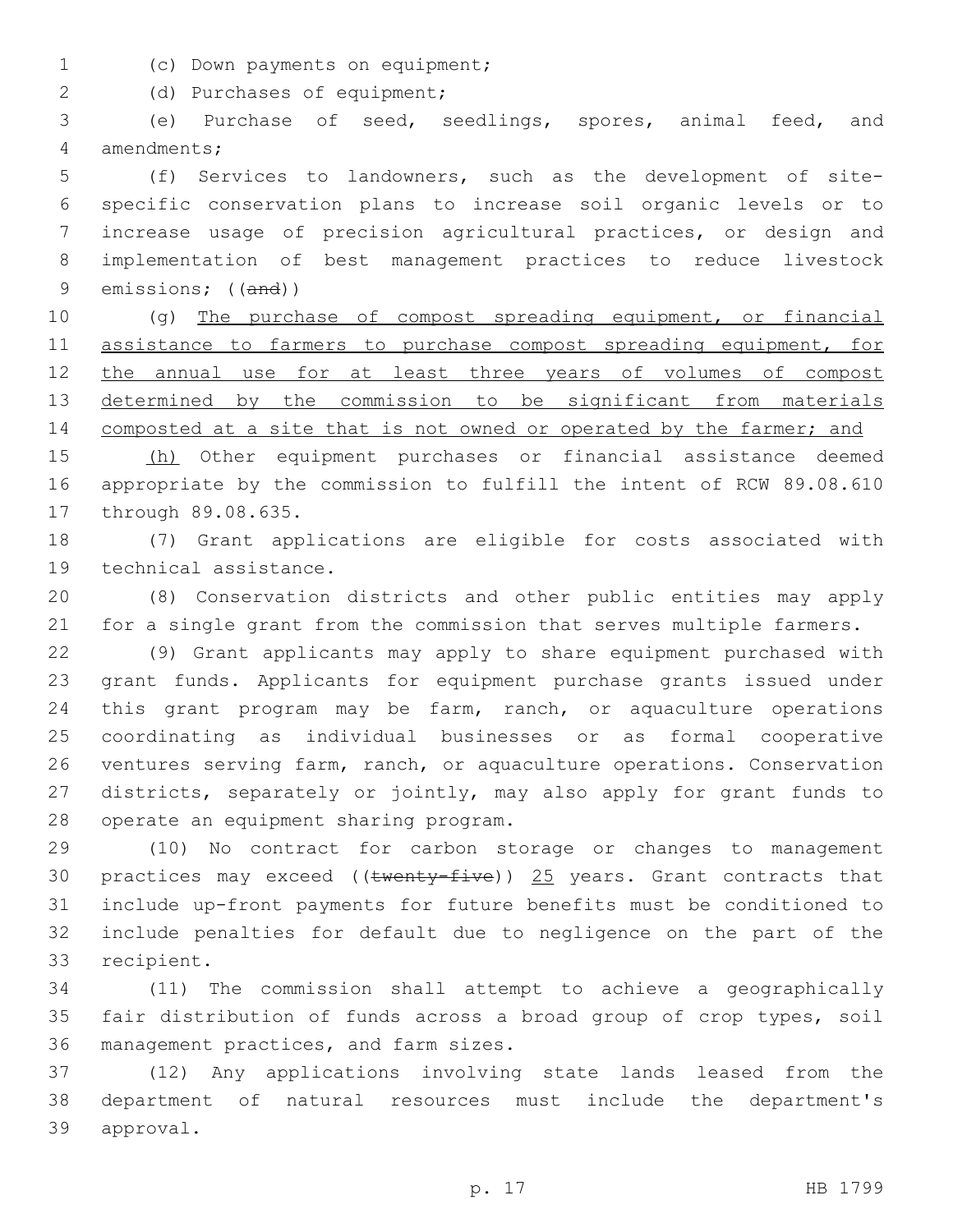(c) Down payments on equipment;1

2 (d) Purchases of equipment;

 (e) Purchase of seed, seedlings, spores, animal feed, and amendments;4

 (f) Services to landowners, such as the development of site- specific conservation plans to increase soil organic levels or to increase usage of precision agricultural practices, or design and implementation of best management practices to reduce livestock emissions; ((and))

 (g) The purchase of compost spreading equipment, or financial 11 assistance to farmers to purchase compost spreading equipment, for the annual use for at least three years of volumes of compost 13 determined by the commission to be significant from materials 14 composted at a site that is not owned or operated by the farmer; and

15 (h) Other equipment purchases or financial assistance deemed appropriate by the commission to fulfill the intent of RCW 89.08.610 17 through 89.08.635.

 (7) Grant applications are eligible for costs associated with 19 technical assistance.

 (8) Conservation districts and other public entities may apply for a single grant from the commission that serves multiple farmers.

 (9) Grant applicants may apply to share equipment purchased with grant funds. Applicants for equipment purchase grants issued under this grant program may be farm, ranch, or aquaculture operations coordinating as individual businesses or as formal cooperative ventures serving farm, ranch, or aquaculture operations. Conservation districts, separately or jointly, may also apply for grant funds to 28 operate an equipment sharing program.

 (10) No contract for carbon storage or changes to management 30 practices may exceed (( $t$ wenty-five)) 25 years. Grant contracts that include up-front payments for future benefits must be conditioned to include penalties for default due to negligence on the part of the 33 recipient.

 (11) The commission shall attempt to achieve a geographically fair distribution of funds across a broad group of crop types, soil 36 management practices, and farm sizes.

 (12) Any applications involving state lands leased from the department of natural resources must include the department's 39 approval.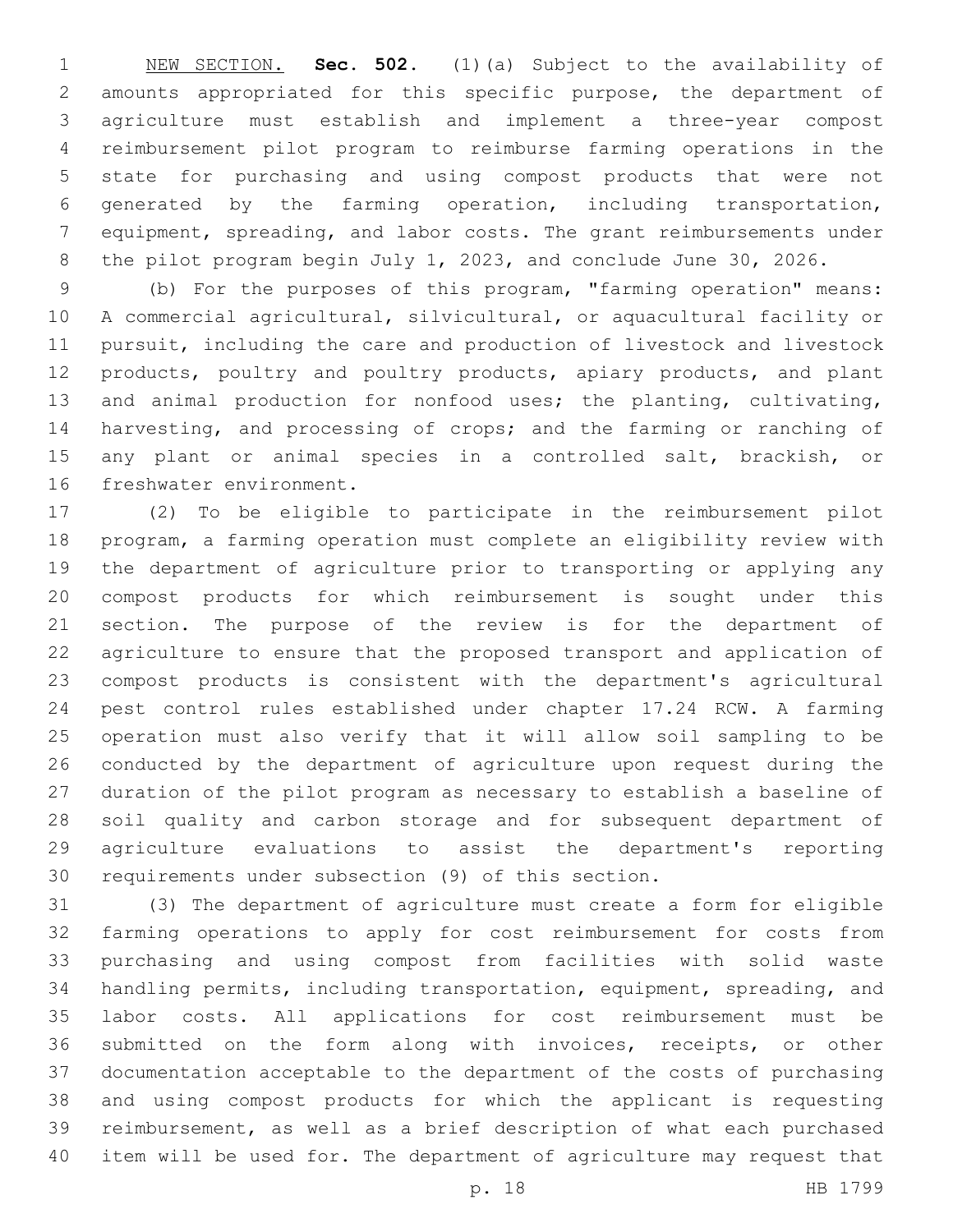NEW SECTION. **Sec. 502.** (1)(a) Subject to the availability of amounts appropriated for this specific purpose, the department of agriculture must establish and implement a three-year compost reimbursement pilot program to reimburse farming operations in the state for purchasing and using compost products that were not generated by the farming operation, including transportation, equipment, spreading, and labor costs. The grant reimbursements under the pilot program begin July 1, 2023, and conclude June 30, 2026.

 (b) For the purposes of this program, "farming operation" means: A commercial agricultural, silvicultural, or aquacultural facility or pursuit, including the care and production of livestock and livestock products, poultry and poultry products, apiary products, and plant 13 and animal production for nonfood uses; the planting, cultivating, harvesting, and processing of crops; and the farming or ranching of any plant or animal species in a controlled salt, brackish, or 16 freshwater environment.

 (2) To be eligible to participate in the reimbursement pilot program, a farming operation must complete an eligibility review with the department of agriculture prior to transporting or applying any compost products for which reimbursement is sought under this section. The purpose of the review is for the department of agriculture to ensure that the proposed transport and application of compost products is consistent with the department's agricultural pest control rules established under chapter 17.24 RCW. A farming operation must also verify that it will allow soil sampling to be conducted by the department of agriculture upon request during the duration of the pilot program as necessary to establish a baseline of soil quality and carbon storage and for subsequent department of agriculture evaluations to assist the department's reporting requirements under subsection (9) of this section.

 (3) The department of agriculture must create a form for eligible farming operations to apply for cost reimbursement for costs from purchasing and using compost from facilities with solid waste handling permits, including transportation, equipment, spreading, and labor costs. All applications for cost reimbursement must be submitted on the form along with invoices, receipts, or other documentation acceptable to the department of the costs of purchasing and using compost products for which the applicant is requesting reimbursement, as well as a brief description of what each purchased item will be used for. The department of agriculture may request that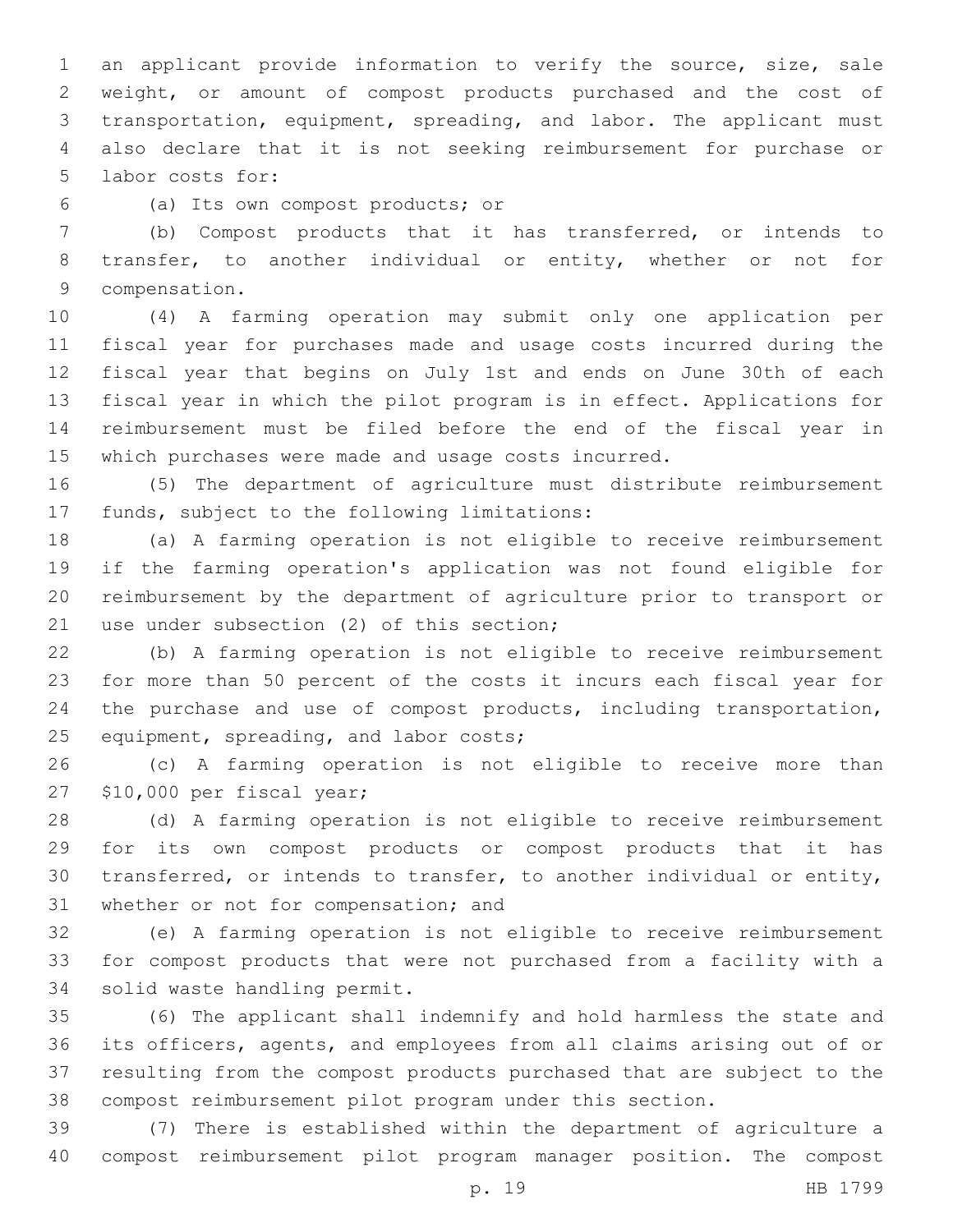an applicant provide information to verify the source, size, sale weight, or amount of compost products purchased and the cost of transportation, equipment, spreading, and labor. The applicant must also declare that it is not seeking reimbursement for purchase or 5 labor costs for:

(a) Its own compost products; or6

 (b) Compost products that it has transferred, or intends to transfer, to another individual or entity, whether or not for 9 compensation.

 (4) A farming operation may submit only one application per fiscal year for purchases made and usage costs incurred during the fiscal year that begins on July 1st and ends on June 30th of each fiscal year in which the pilot program is in effect. Applications for reimbursement must be filed before the end of the fiscal year in which purchases were made and usage costs incurred.

 (5) The department of agriculture must distribute reimbursement 17 funds, subject to the following limitations:

 (a) A farming operation is not eligible to receive reimbursement if the farming operation's application was not found eligible for reimbursement by the department of agriculture prior to transport or 21 use under subsection (2) of this section;

 (b) A farming operation is not eligible to receive reimbursement for more than 50 percent of the costs it incurs each fiscal year for 24 the purchase and use of compost products, including transportation, 25 equipment, spreading, and labor costs;

 (c) A farming operation is not eligible to receive more than 27 \$10,000 per fiscal year;

 (d) A farming operation is not eligible to receive reimbursement for its own compost products or compost products that it has transferred, or intends to transfer, to another individual or entity, 31 whether or not for compensation; and

 (e) A farming operation is not eligible to receive reimbursement for compost products that were not purchased from a facility with a 34 solid waste handling permit.

 (6) The applicant shall indemnify and hold harmless the state and its officers, agents, and employees from all claims arising out of or resulting from the compost products purchased that are subject to the compost reimbursement pilot program under this section.

 (7) There is established within the department of agriculture a compost reimbursement pilot program manager position. The compost

p. 19 HB 1799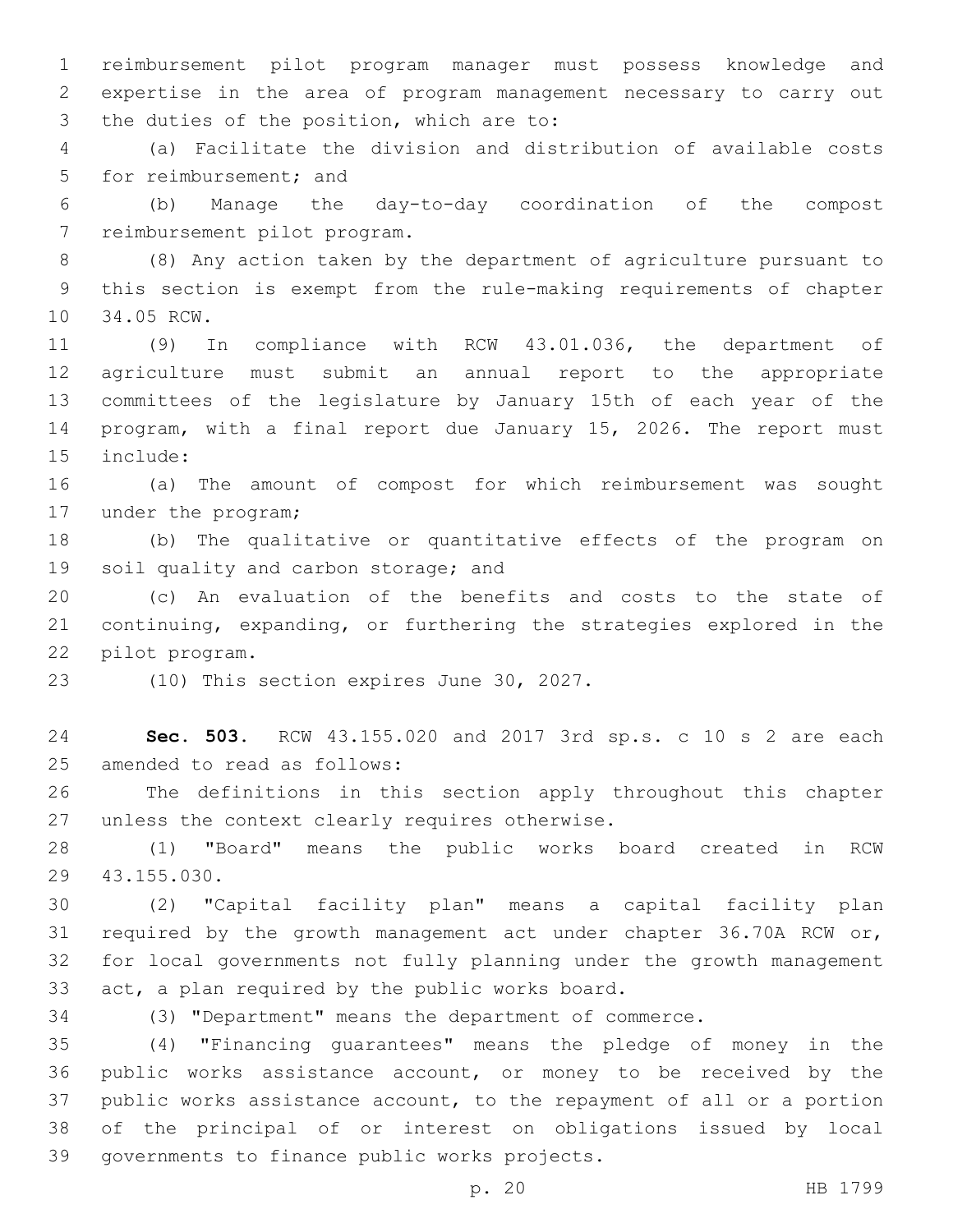reimbursement pilot program manager must possess knowledge and expertise in the area of program management necessary to carry out 3 the duties of the position, which are to:

 (a) Facilitate the division and distribution of available costs 5 for reimbursement; and

 (b) Manage the day-to-day coordination of the compost 7 reimbursement pilot program.

 (8) Any action taken by the department of agriculture pursuant to this section is exempt from the rule-making requirements of chapter 10 34.05 RCW.

 (9) In compliance with RCW 43.01.036, the department of agriculture must submit an annual report to the appropriate committees of the legislature by January 15th of each year of the program, with a final report due January 15, 2026. The report must 15 include:

 (a) The amount of compost for which reimbursement was sought 17 under the program;

 (b) The qualitative or quantitative effects of the program on 19 soil quality and carbon storage; and

 (c) An evaluation of the benefits and costs to the state of continuing, expanding, or furthering the strategies explored in the 22 pilot program.

23 (10) This section expires June 30, 2027.

 **Sec. 503.** RCW 43.155.020 and 2017 3rd sp.s. c 10 s 2 are each 25 amended to read as follows:

 The definitions in this section apply throughout this chapter 27 unless the context clearly requires otherwise.

 (1) "Board" means the public works board created in RCW 43.155.030.29

 (2) "Capital facility plan" means a capital facility plan required by the growth management act under chapter 36.70A RCW or, for local governments not fully planning under the growth management 33 act, a plan required by the public works board.

(3) "Department" means the department of commerce.

 (4) "Financing guarantees" means the pledge of money in the public works assistance account, or money to be received by the public works assistance account, to the repayment of all or a portion of the principal of or interest on obligations issued by local 39 governments to finance public works projects.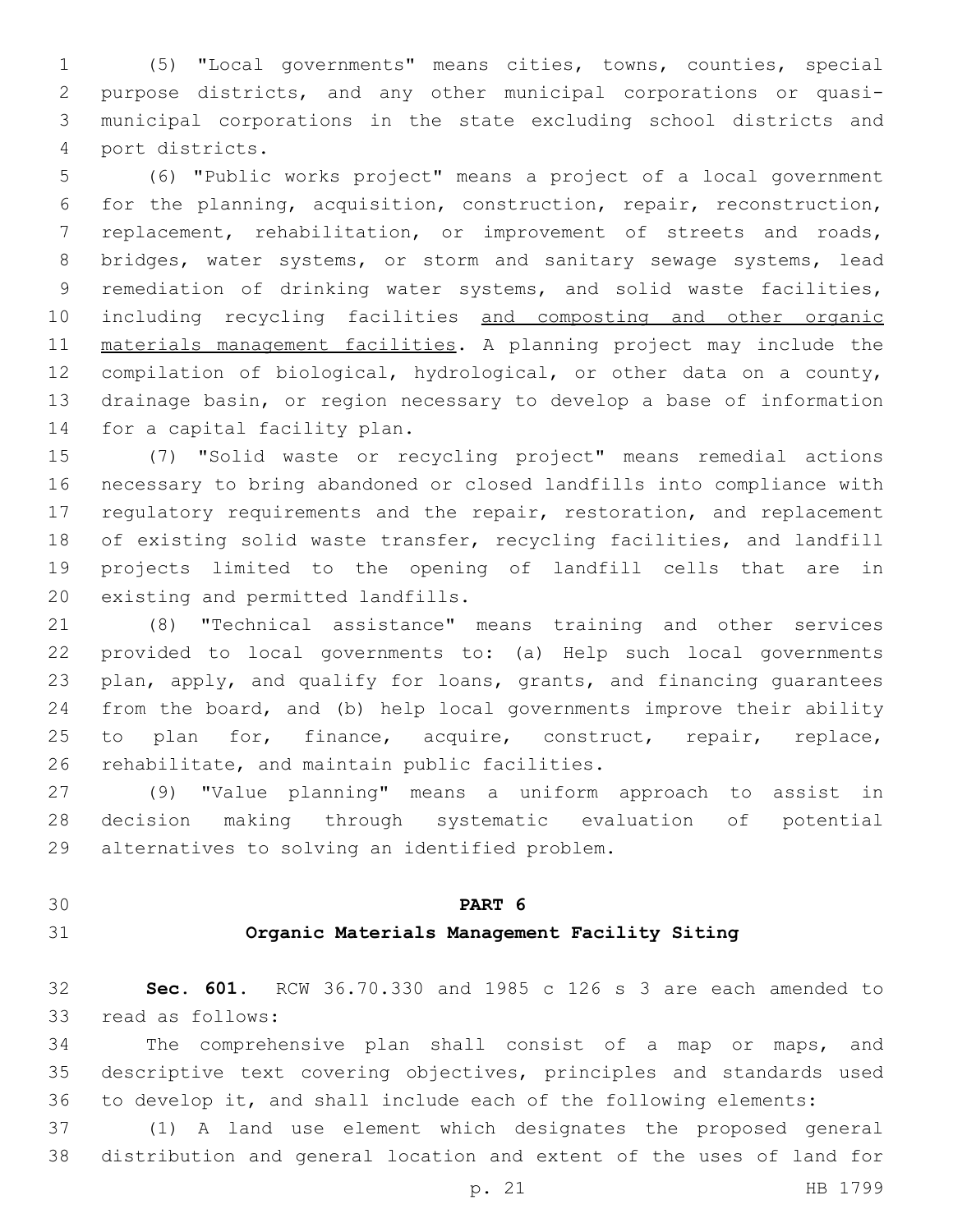(5) "Local governments" means cities, towns, counties, special purpose districts, and any other municipal corporations or quasi- municipal corporations in the state excluding school districts and port districts.4

 (6) "Public works project" means a project of a local government for the planning, acquisition, construction, repair, reconstruction, replacement, rehabilitation, or improvement of streets and roads, 8 bridges, water systems, or storm and sanitary sewage systems, lead remediation of drinking water systems, and solid waste facilities, including recycling facilities and composting and other organic materials management facilities. A planning project may include the compilation of biological, hydrological, or other data on a county, drainage basin, or region necessary to develop a base of information 14 for a capital facility plan.

 (7) "Solid waste or recycling project" means remedial actions necessary to bring abandoned or closed landfills into compliance with 17 regulatory requirements and the repair, restoration, and replacement of existing solid waste transfer, recycling facilities, and landfill projects limited to the opening of landfill cells that are in 20 existing and permitted landfills.

 (8) "Technical assistance" means training and other services provided to local governments to: (a) Help such local governments plan, apply, and qualify for loans, grants, and financing guarantees from the board, and (b) help local governments improve their ability 25 to plan for, finance, acquire, construct, repair, replace, 26 rehabilitate, and maintain public facilities.

 (9) "Value planning" means a uniform approach to assist in decision making through systematic evaluation of potential 29 alternatives to solving an identified problem.

## **PART 6**

### **Organic Materials Management Facility Siting**

 **Sec. 601.** RCW 36.70.330 and 1985 c 126 s 3 are each amended to 33 read as follows:

 The comprehensive plan shall consist of a map or maps, and descriptive text covering objectives, principles and standards used to develop it, and shall include each of the following elements:

 (1) A land use element which designates the proposed general distribution and general location and extent of the uses of land for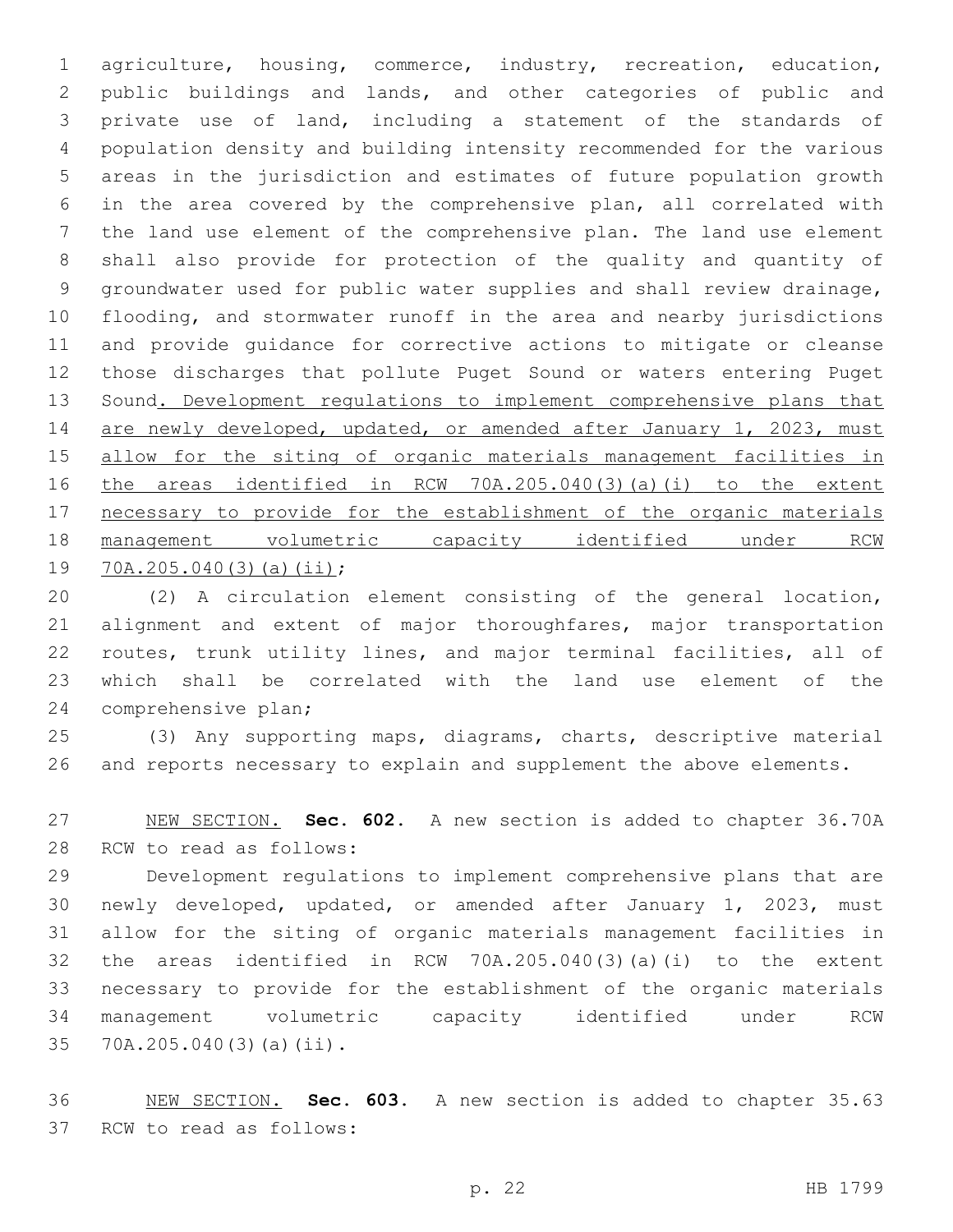agriculture, housing, commerce, industry, recreation, education, public buildings and lands, and other categories of public and private use of land, including a statement of the standards of population density and building intensity recommended for the various areas in the jurisdiction and estimates of future population growth in the area covered by the comprehensive plan, all correlated with the land use element of the comprehensive plan. The land use element shall also provide for protection of the quality and quantity of groundwater used for public water supplies and shall review drainage, flooding, and stormwater runoff in the area and nearby jurisdictions and provide guidance for corrective actions to mitigate or cleanse those discharges that pollute Puget Sound or waters entering Puget Sound. Development regulations to implement comprehensive plans that 14 are newly developed, updated, or amended after January 1, 2023, must allow for the siting of organic materials management facilities in the areas identified in RCW 70A.205.040(3)(a)(i) to the extent necessary to provide for the establishment of the organic materials management volumetric capacity identified under RCW 19 70A.205.040(3)(a)(ii);

 (2) A circulation element consisting of the general location, 21 alignment and extent of major thoroughfares, major transportation routes, trunk utility lines, and major terminal facilities, all of which shall be correlated with the land use element of the 24 comprehensive plan;

 (3) Any supporting maps, diagrams, charts, descriptive material and reports necessary to explain and supplement the above elements.

 NEW SECTION. **Sec. 602.** A new section is added to chapter 36.70A 28 RCW to read as follows:

 Development regulations to implement comprehensive plans that are newly developed, updated, or amended after January 1, 2023, must allow for the siting of organic materials management facilities in the areas identified in RCW 70A.205.040(3)(a)(i) to the extent necessary to provide for the establishment of the organic materials management volumetric capacity identified under RCW 35 70A.205.040(3)(a)(ii).

 NEW SECTION. **Sec. 603.** A new section is added to chapter 35.63 37 RCW to read as follows: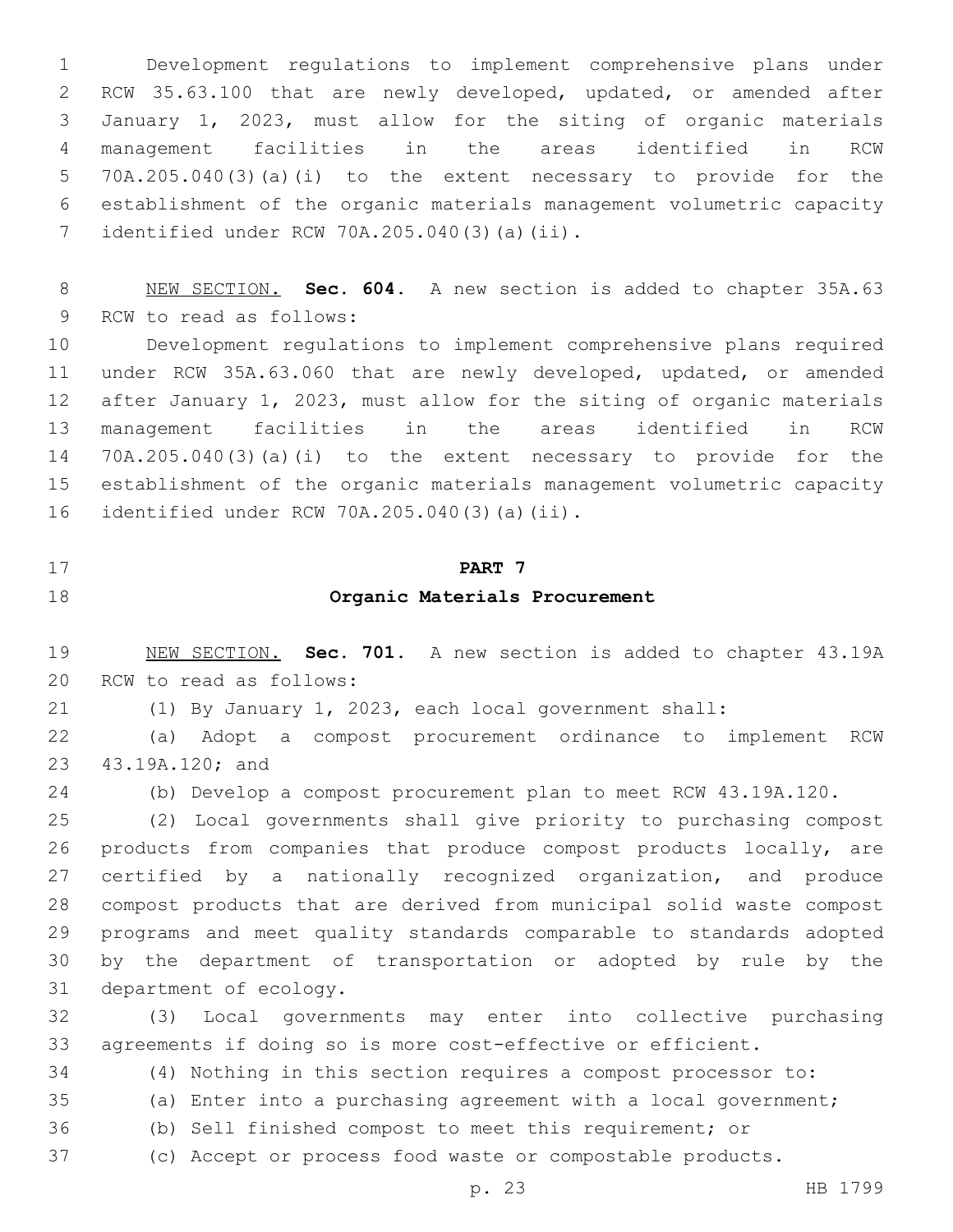Development regulations to implement comprehensive plans under RCW 35.63.100 that are newly developed, updated, or amended after January 1, 2023, must allow for the siting of organic materials management facilities in the areas identified in RCW 70A.205.040(3)(a)(i) to the extent necessary to provide for the establishment of the organic materials management volumetric capacity 7 identified under RCW 70A.205.040(3)(a)(ii).

 NEW SECTION. **Sec. 604.** A new section is added to chapter 35A.63 9 RCW to read as follows:

 Development regulations to implement comprehensive plans required under RCW 35A.63.060 that are newly developed, updated, or amended after January 1, 2023, must allow for the siting of organic materials management facilities in the areas identified in RCW 70A.205.040(3)(a)(i) to the extent necessary to provide for the establishment of the organic materials management volumetric capacity identified under RCW 70A.205.040(3)(a)(ii).16

## **PART 7**

## **Organic Materials Procurement**

 NEW SECTION. **Sec. 701.** A new section is added to chapter 43.19A 20 RCW to read as follows:

(1) By January 1, 2023, each local government shall:

 (a) Adopt a compost procurement ordinance to implement RCW 23 43.19A.120; and

(b) Develop a compost procurement plan to meet RCW 43.19A.120.

 (2) Local governments shall give priority to purchasing compost products from companies that produce compost products locally, are certified by a nationally recognized organization, and produce compost products that are derived from municipal solid waste compost programs and meet quality standards comparable to standards adopted by the department of transportation or adopted by rule by the 31 department of ecology.

 (3) Local governments may enter into collective purchasing agreements if doing so is more cost-effective or efficient.

(4) Nothing in this section requires a compost processor to:

(a) Enter into a purchasing agreement with a local government;

(b) Sell finished compost to meet this requirement; or

(c) Accept or process food waste or compostable products.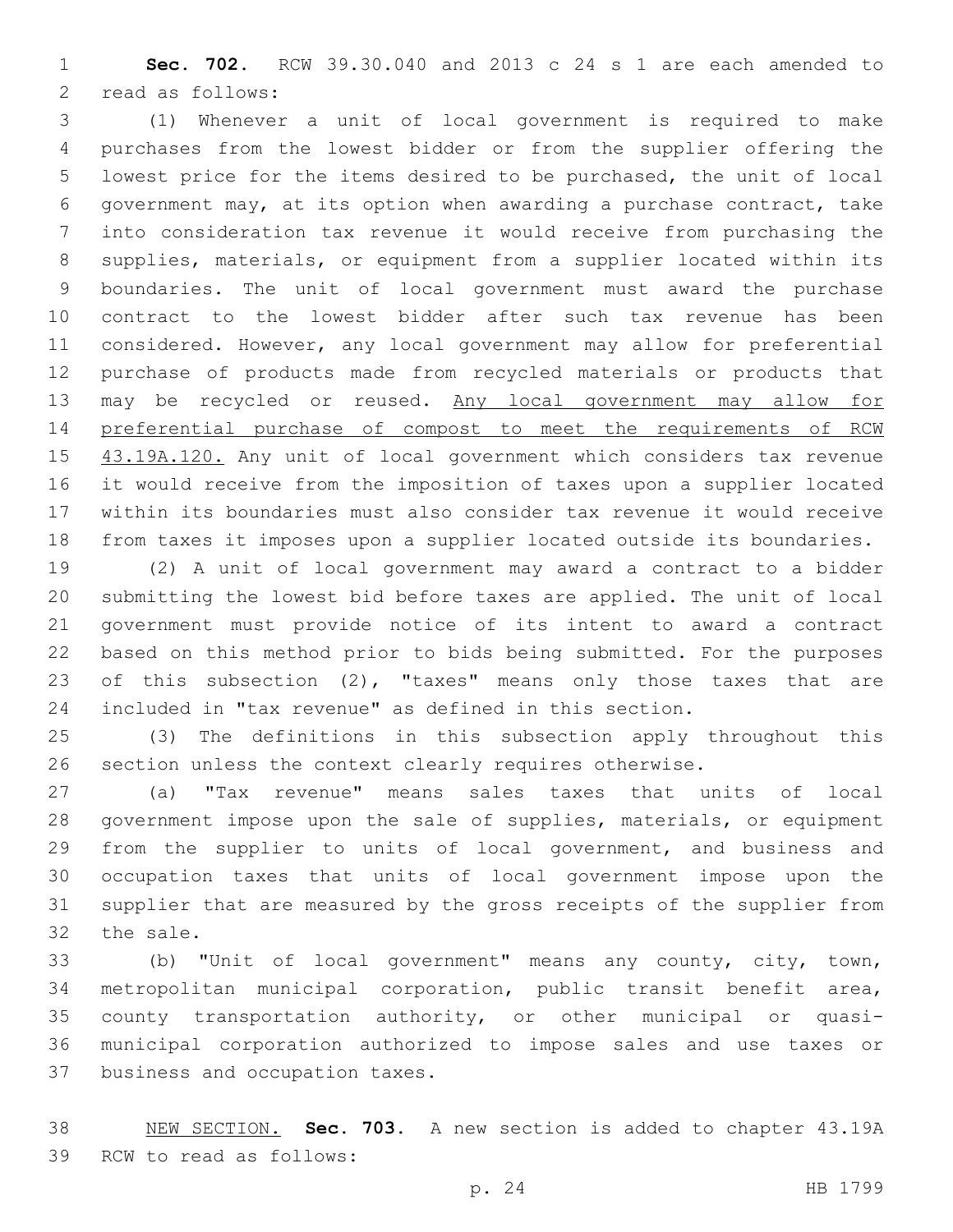**Sec. 702.** RCW 39.30.040 and 2013 c 24 s 1 are each amended to 2 read as follows:

 (1) Whenever a unit of local government is required to make purchases from the lowest bidder or from the supplier offering the lowest price for the items desired to be purchased, the unit of local government may, at its option when awarding a purchase contract, take into consideration tax revenue it would receive from purchasing the supplies, materials, or equipment from a supplier located within its boundaries. The unit of local government must award the purchase contract to the lowest bidder after such tax revenue has been considered. However, any local government may allow for preferential purchase of products made from recycled materials or products that 13 may be recycled or reused. Any local government may allow for preferential purchase of compost to meet the requirements of RCW 15 43.19A.120. Any unit of local government which considers tax revenue it would receive from the imposition of taxes upon a supplier located within its boundaries must also consider tax revenue it would receive from taxes it imposes upon a supplier located outside its boundaries.

 (2) A unit of local government may award a contract to a bidder submitting the lowest bid before taxes are applied. The unit of local government must provide notice of its intent to award a contract based on this method prior to bids being submitted. For the purposes 23 of this subsection (2), "taxes" means only those taxes that are included in "tax revenue" as defined in this section.

 (3) The definitions in this subsection apply throughout this section unless the context clearly requires otherwise.

 (a) "Tax revenue" means sales taxes that units of local government impose upon the sale of supplies, materials, or equipment from the supplier to units of local government, and business and occupation taxes that units of local government impose upon the supplier that are measured by the gross receipts of the supplier from 32 the sale.

 (b) "Unit of local government" means any county, city, town, metropolitan municipal corporation, public transit benefit area, county transportation authority, or other municipal or quasi- municipal corporation authorized to impose sales and use taxes or 37 business and occupation taxes.

 NEW SECTION. **Sec. 703.** A new section is added to chapter 43.19A 39 RCW to read as follows: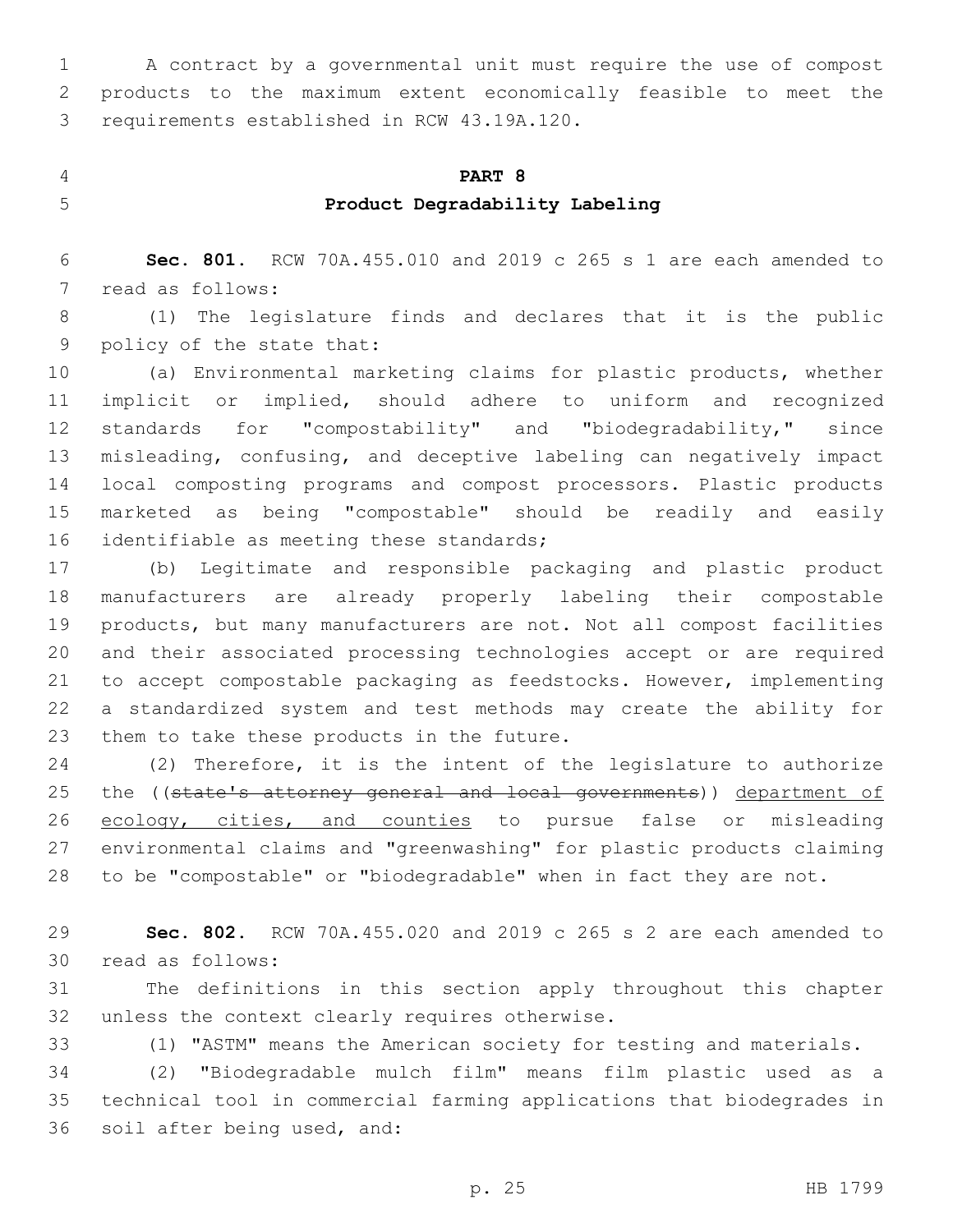A contract by a governmental unit must require the use of compost products to the maximum extent economically feasible to meet the 3 requirements established in RCW 43.19A.120.

# **PART 8 Product Degradability Labeling**

 **Sec. 801.** RCW 70A.455.010 and 2019 c 265 s 1 are each amended to 7 read as follows:

 (1) The legislature finds and declares that it is the public 9 policy of the state that:

 (a) Environmental marketing claims for plastic products, whether implicit or implied, should adhere to uniform and recognized standards for "compostability" and "biodegradability," since misleading, confusing, and deceptive labeling can negatively impact local composting programs and compost processors. Plastic products marketed as being "compostable" should be readily and easily 16 identifiable as meeting these standards;

 (b) Legitimate and responsible packaging and plastic product manufacturers are already properly labeling their compostable products, but many manufacturers are not. Not all compost facilities and their associated processing technologies accept or are required to accept compostable packaging as feedstocks. However, implementing a standardized system and test methods may create the ability for 23 them to take these products in the future.

 (2) Therefore, it is the intent of the legislature to authorize 25 the ((state's attorney general and local governments)) department of 26 ecology, cities, and counties to pursue false or misleading environmental claims and "greenwashing" for plastic products claiming to be "compostable" or "biodegradable" when in fact they are not.

 **Sec. 802.** RCW 70A.455.020 and 2019 c 265 s 2 are each amended to 30 read as follows:

 The definitions in this section apply throughout this chapter 32 unless the context clearly requires otherwise.

(1) "ASTM" means the American society for testing and materials.

 (2) "Biodegradable mulch film" means film plastic used as a technical tool in commercial farming applications that biodegrades in 36 soil after being used, and: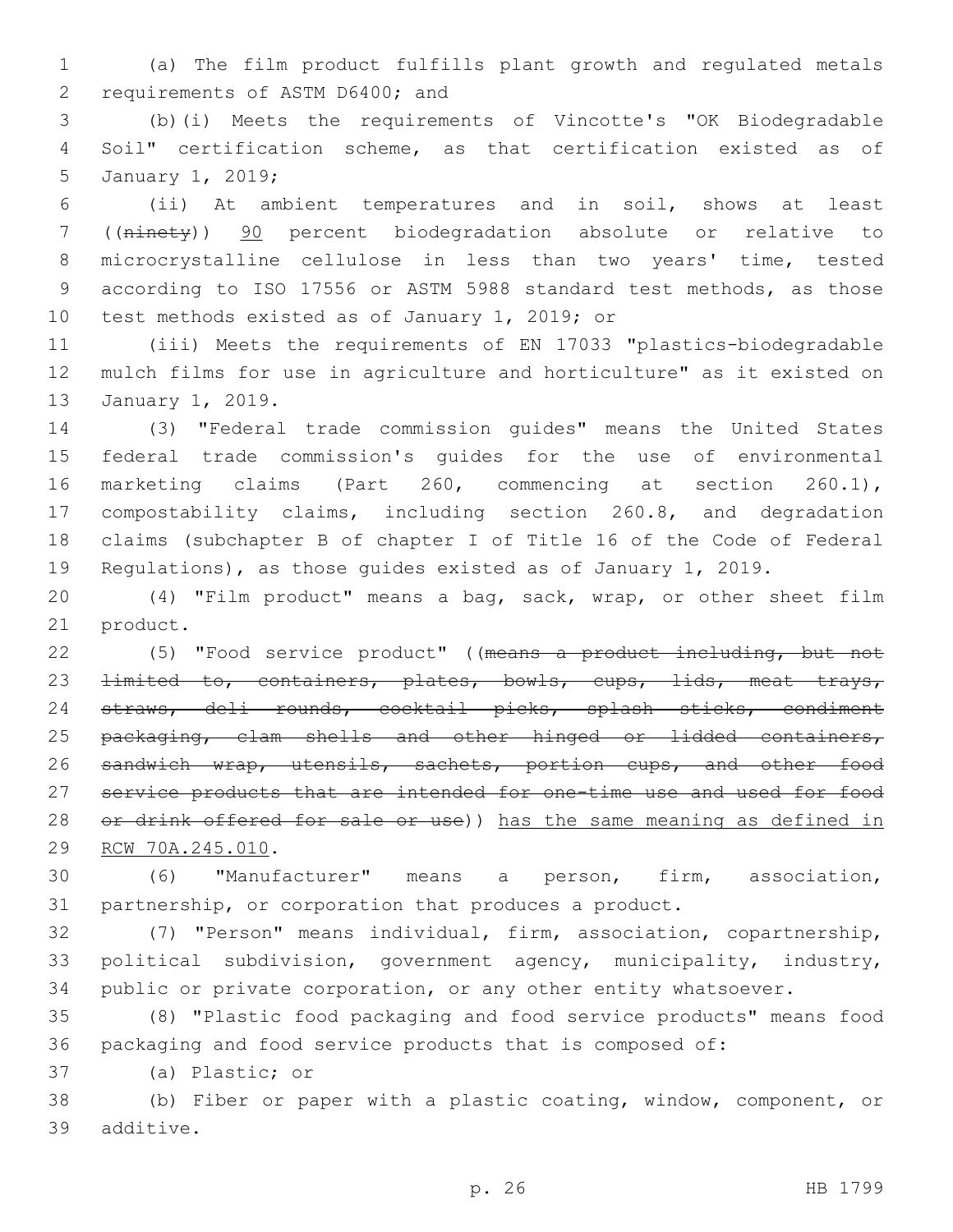(a) The film product fulfills plant growth and regulated metals 2 requirements of ASTM D6400; and

 (b)(i) Meets the requirements of Vincotte's "OK Biodegradable Soil" certification scheme, as that certification existed as of 5 January 1, 2019;

 (ii) At ambient temperatures and in soil, shows at least ((ninety)) 90 percent biodegradation absolute or relative to microcrystalline cellulose in less than two years' time, tested according to ISO 17556 or ASTM 5988 standard test methods, as those 10 test methods existed as of January 1, 2019; or

 (iii) Meets the requirements of EN 17033 "plastics-biodegradable mulch films for use in agriculture and horticulture" as it existed on 13 January 1, 2019.

 (3) "Federal trade commission guides" means the United States federal trade commission's guides for the use of environmental marketing claims (Part 260, commencing at section 260.1), compostability claims, including section 260.8, and degradation claims (subchapter B of chapter I of Title 16 of the Code of Federal Regulations), as those guides existed as of January 1, 2019.

 (4) "Film product" means a bag, sack, wrap, or other sheet film 21 product.

 (5) "Food service product" ((means a product including, but not 23 <del>limited to, containers, plates, bowls, cups, lids, meat trays,</del> straws, deli rounds, cocktail picks, splash sticks, condiment 25 packaging, clam shells and other hinged or lidded containers, 26 sandwich wrap, utensils, sachets, portion cups, and other food service products that are intended for one-time use and used for food 28 or drink offered for sale or use)) has the same meaning as defined in 29 RCW 70A.245.010.

 (6) "Manufacturer" means a person, firm, association, partnership, or corporation that produces a product.

 (7) "Person" means individual, firm, association, copartnership, political subdivision, government agency, municipality, industry, public or private corporation, or any other entity whatsoever.

 (8) "Plastic food packaging and food service products" means food packaging and food service products that is composed of:

37 (a) Plastic; or

 (b) Fiber or paper with a plastic coating, window, component, or additive.39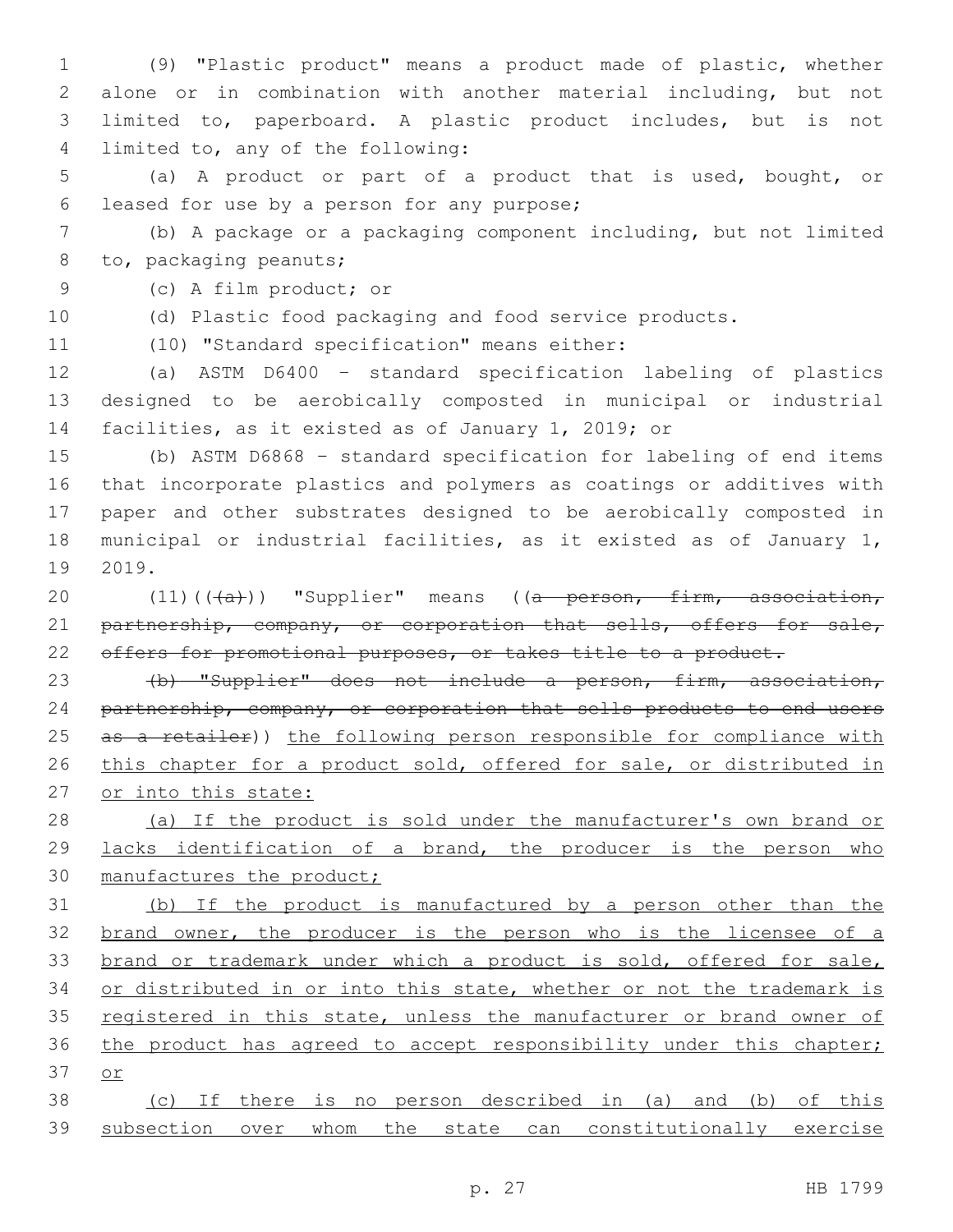(9) "Plastic product" means a product made of plastic, whether alone or in combination with another material including, but not limited to, paperboard. A plastic product includes, but is not 4 limited to, any of the following:

 (a) A product or part of a product that is used, bought, or 6 leased for use by a person for any purpose;

 (b) A package or a packaging component including, but not limited 8 to, packaging peanuts;

9 (c) A film product; or

(d) Plastic food packaging and food service products.

11 (10) "Standard specification" means either:

 (a) ASTM D6400 – standard specification labeling of plastics designed to be aerobically composted in municipal or industrial facilities, as it existed as of January 1, 2019; or

 (b) ASTM D6868 – standard specification for labeling of end items that incorporate plastics and polymers as coatings or additives with paper and other substrates designed to be aerobically composted in municipal or industrial facilities, as it existed as of January 1, 19 2019.

 $(11)((\overline{a}))$  "Supplier" means ((a person, firm, association, 21 partnership, company, or corporation that sells, offers for sale, 22 offers for promotional purposes, or takes title to a product.

 (b) "Supplier" does not include a person, firm, association, partnership, company, or corporation that sells products to end users 25 as a retailer)) the following person responsible for compliance with 26 this chapter for a product sold, offered for sale, or distributed in or into this state:

 (a) If the product is sold under the manufacturer's own brand or lacks identification of a brand, the producer is the person who manufactures the product;

 (b) If the product is manufactured by a person other than the brand owner, the producer is the person who is the licensee of a 33 brand or trademark under which a product is sold, offered for sale, or distributed in or into this state, whether or not the trademark is 35 registered in this state, unless the manufacturer or brand owner of 36 the product has agreed to accept responsibility under this chapter; or

 (c) If there is no person described in (a) and (b) of this subsection over whom the state can constitutionally exercise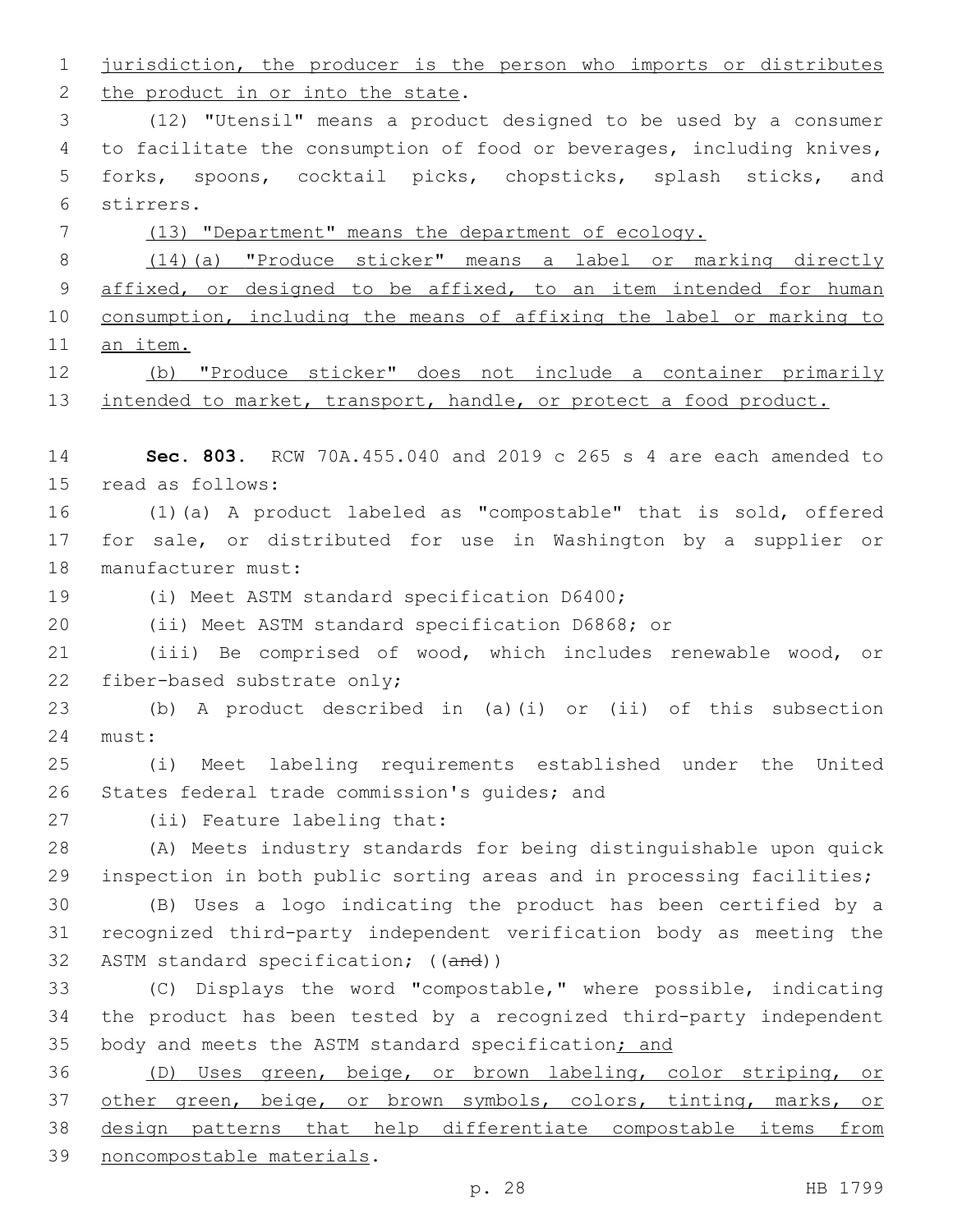1 jurisdiction, the producer is the person who imports or distributes 2 the product in or into the state. 3 (12) "Utensil" means a product designed to be used by a consumer 4 to facilitate the consumption of food or beverages, including knives, 5 forks, spoons, cocktail picks, chopsticks, splash sticks, and stirrers.6 7 (13) "Department" means the department of ecology. 8 (14)(a) "Produce sticker" means a label or marking directly 9 affixed, or designed to be affixed, to an item intended for human 10 consumption, including the means of affixing the label or marking to 11 an item. 12 (b) "Produce sticker" does not include a container primarily 13 intended to market, transport, handle, or protect a food product. 14 **Sec. 803.** RCW 70A.455.040 and 2019 c 265 s 4 are each amended to 15 read as follows: 16 (1)(a) A product labeled as "compostable" that is sold, offered 17 for sale, or distributed for use in Washington by a supplier or 18 manufacturer must: 19 (i) Meet ASTM standard specification D6400; 20 (ii) Meet ASTM standard specification D6868; or 21 (iii) Be comprised of wood, which includes renewable wood, or 22 fiber-based substrate only; 23 (b) A product described in (a)(i) or (ii) of this subsection 24 must: 25 (i) Meet labeling requirements established under the United 26 States federal trade commission's quides; and 27 (ii) Feature labeling that: 28 (A) Meets industry standards for being distinguishable upon quick 29 inspection in both public sorting areas and in processing facilities; 30 (B) Uses a logo indicating the product has been certified by a 31 recognized third-party independent verification body as meeting the 32 ASTM standard specification; ((and)) 33 (C) Displays the word "compostable," where possible, indicating 34 the product has been tested by a recognized third-party independent 35 body and meets the ASTM standard specification; and 36 (D) Uses green, beige, or brown labeling, color striping, or 37 other green, beige, or brown symbols, colors, tinting, marks, or 38 design patterns that help differentiate compostable items from 39 noncompostable materials.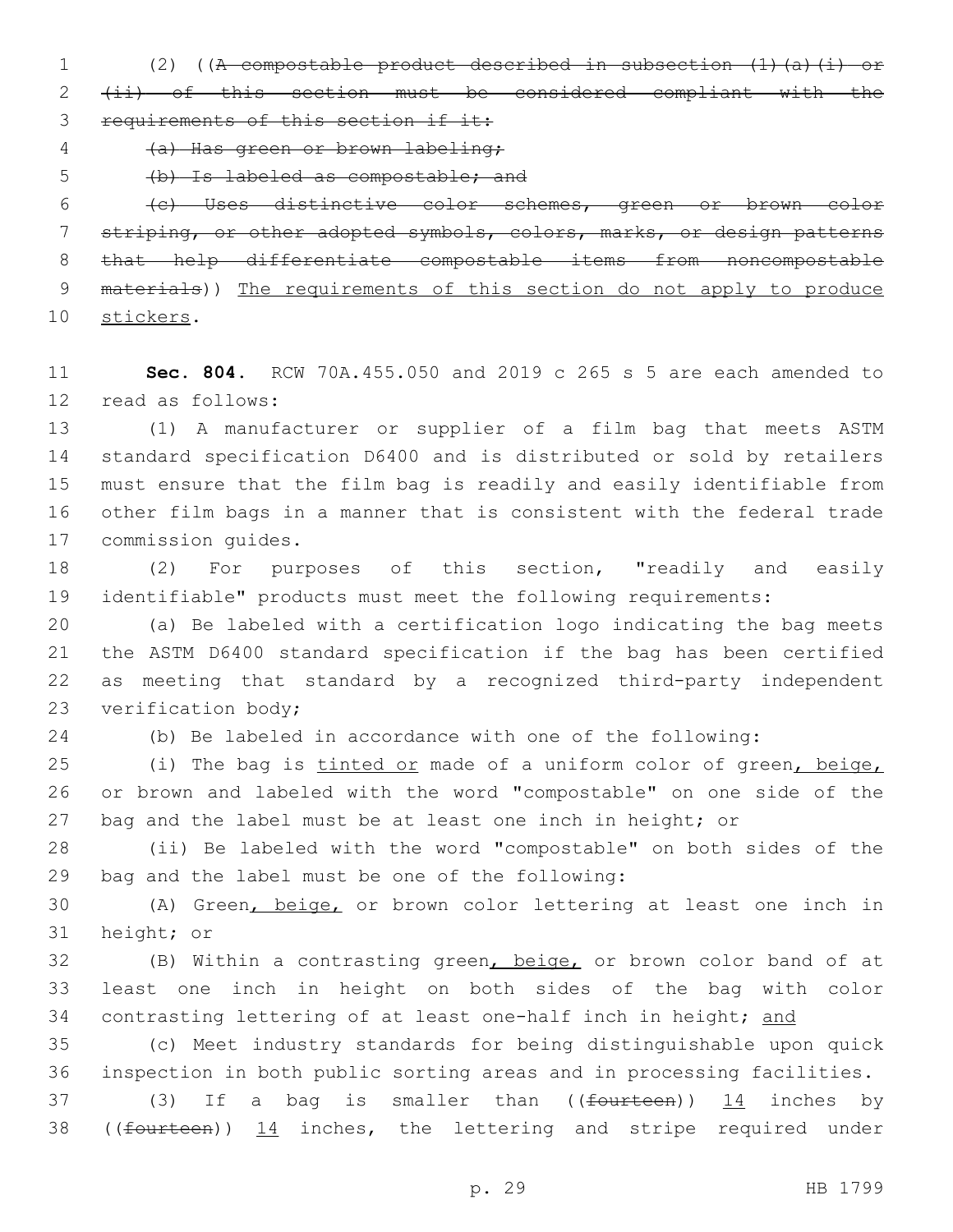(2) ((A compostable product described in subsection (1)(a)(i) or

 (ii) of this section must be considered compliant with the 3 requirements of this section if it:

(a) Has green or brown labeling;

(b) Is labeled as compostable; and

 (c) Uses distinctive color schemes, green or brown color striping, or other adopted symbols, colors, marks, or design patterns that help differentiate compostable items from noncompostable materials)) The requirements of this section do not apply to produce 10 stickers.

 **Sec. 804.** RCW 70A.455.050 and 2019 c 265 s 5 are each amended to 12 read as follows:

 (1) A manufacturer or supplier of a film bag that meets ASTM standard specification D6400 and is distributed or sold by retailers must ensure that the film bag is readily and easily identifiable from other film bags in a manner that is consistent with the federal trade 17 commission quides.

 (2) For purposes of this section, "readily and easily identifiable" products must meet the following requirements:

 (a) Be labeled with a certification logo indicating the bag meets the ASTM D6400 standard specification if the bag has been certified as meeting that standard by a recognized third-party independent 23 verification body;

(b) Be labeled in accordance with one of the following:

25 (i) The bag is tinted or made of a uniform color of green, beige, or brown and labeled with the word "compostable" on one side of the bag and the label must be at least one inch in height; or

 (ii) Be labeled with the word "compostable" on both sides of the 29 bag and the label must be one of the following:

 (A) Green, beige, or brown color lettering at least one inch in 31 height; or

32 (B) Within a contrasting green, beige, or brown color band of at least one inch in height on both sides of the bag with color 34 contrasting lettering of at least one-half inch in height; and

 (c) Meet industry standards for being distinguishable upon quick inspection in both public sorting areas and in processing facilities.

37 (3) If a bag is smaller than  $((f~~outteen~~))$  14 inches by 38 ((fourteen)) 14 inches, the lettering and stripe required under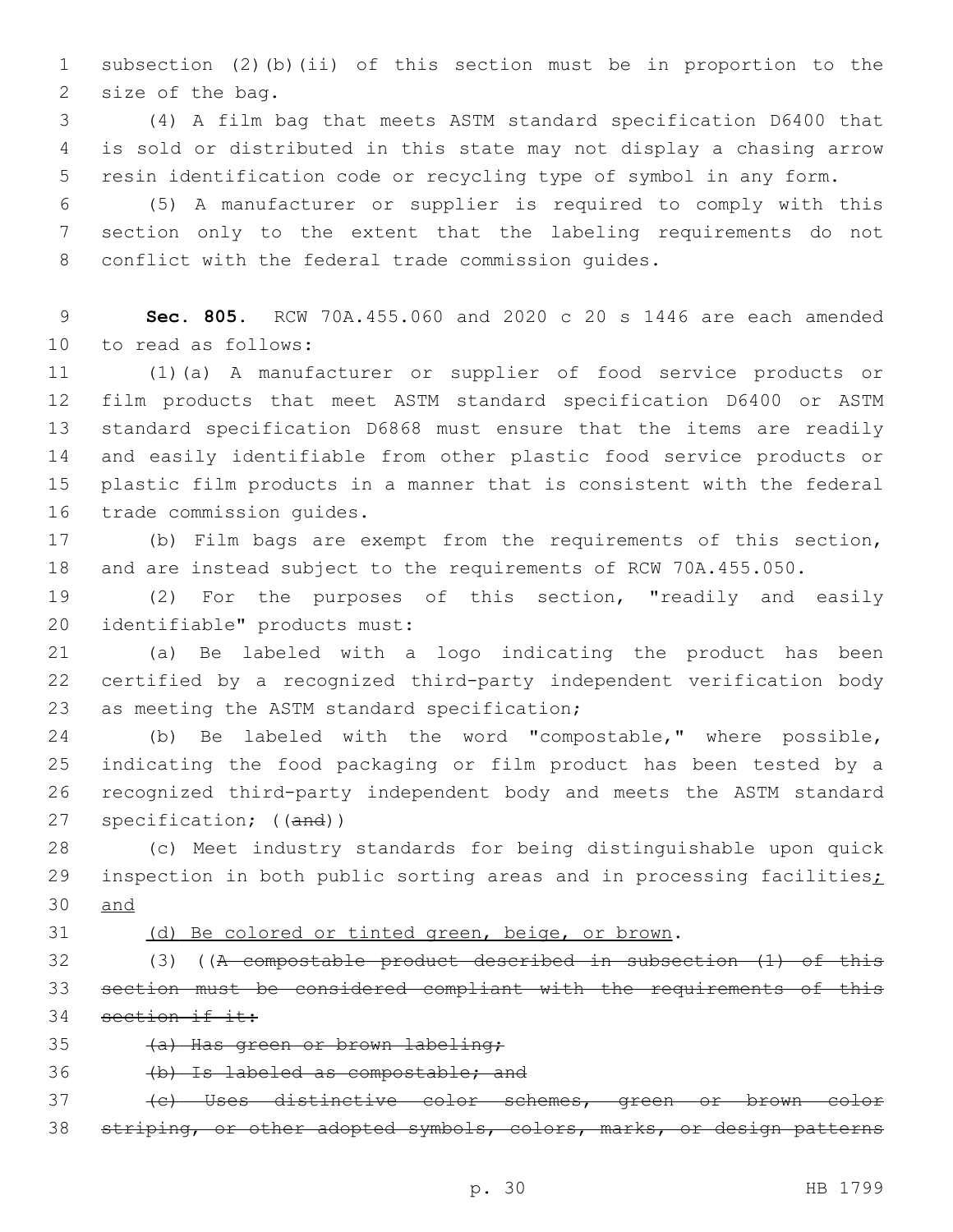subsection (2)(b)(ii) of this section must be in proportion to the 2 size of the bag.

 (4) A film bag that meets ASTM standard specification D6400 that is sold or distributed in this state may not display a chasing arrow resin identification code or recycling type of symbol in any form.

 (5) A manufacturer or supplier is required to comply with this section only to the extent that the labeling requirements do not 8 conflict with the federal trade commission quides.

 **Sec. 805.** RCW 70A.455.060 and 2020 c 20 s 1446 are each amended 10 to read as follows:

 (1)(a) A manufacturer or supplier of food service products or film products that meet ASTM standard specification D6400 or ASTM standard specification D6868 must ensure that the items are readily and easily identifiable from other plastic food service products or plastic film products in a manner that is consistent with the federal 16 trade commission quides.

 (b) Film bags are exempt from the requirements of this section, and are instead subject to the requirements of RCW 70A.455.050.

 (2) For the purposes of this section, "readily and easily 20 identifiable" products must:

 (a) Be labeled with a logo indicating the product has been certified by a recognized third-party independent verification body 23 as meeting the ASTM standard specification;

 (b) Be labeled with the word "compostable," where possible, indicating the food packaging or film product has been tested by a recognized third-party independent body and meets the ASTM standard 27 specification; ((and))

 (c) Meet industry standards for being distinguishable upon quick 29 inspection in both public sorting areas and in processing facilities; and

(d) Be colored or tinted green, beige, or brown.

 (3) ((A compostable product described in subsection (1) of this section must be considered compliant with the requirements of this section if it:

35 (a) Has green or brown labeling;

36 (b) Is labeled as compostable; and

 (c) Uses distinctive color schemes, green or brown color striping, or other adopted symbols, colors, marks, or design patterns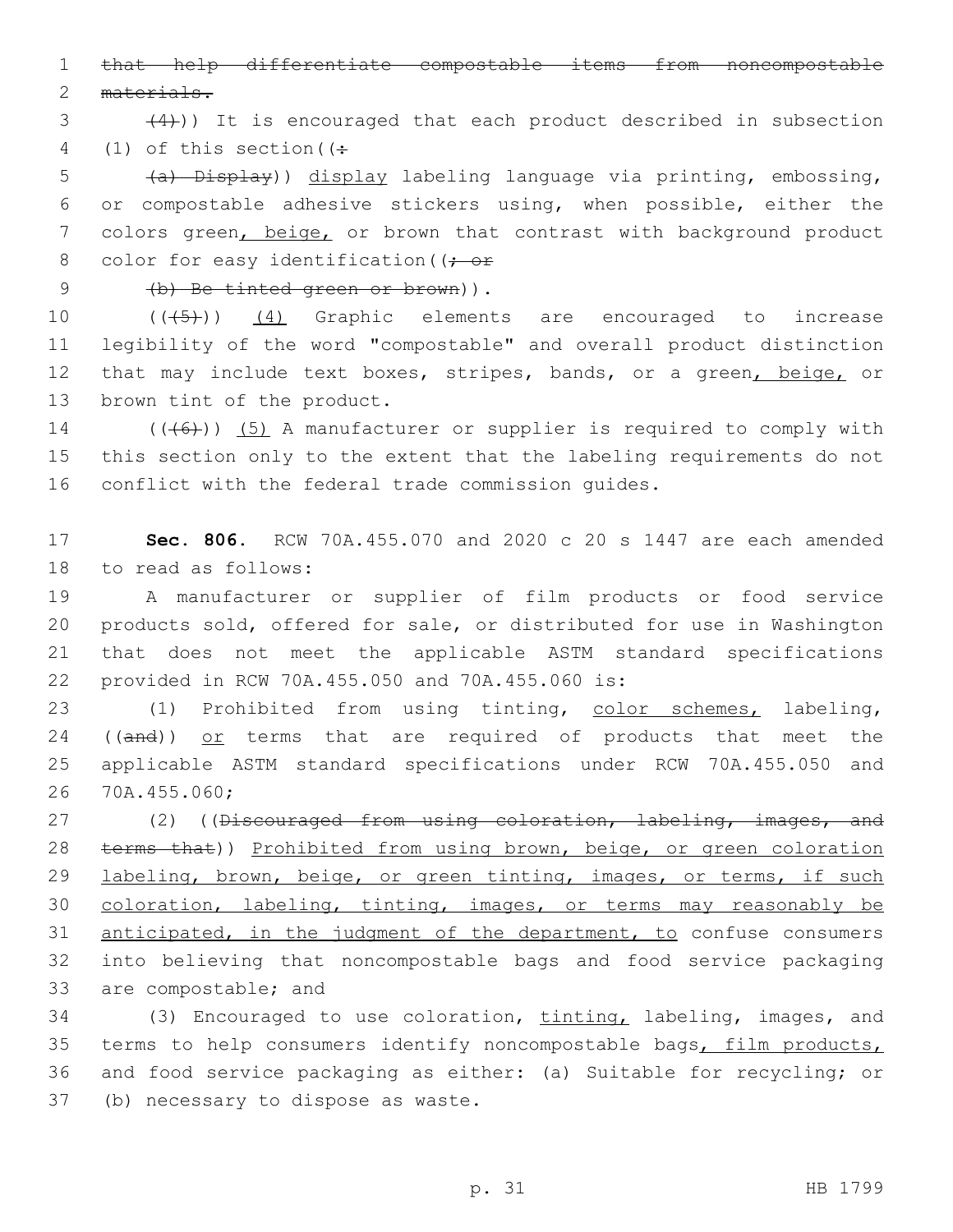1 that help differentiate compostable items from noncompostable 2 materials.

 $(4)$ )) It is encouraged that each product described in subsection 4 (1) of this section  $($ :

 (a) Display)) display labeling language via printing, embossing, or compostable adhesive stickers using, when possible, either the colors green, beige, or brown that contrast with background product 8 color for easy identification ( $\rightarrow$  or

## 9 (b) Be tinted green or brown)).

10 (((+5)) (4) Graphic elements are encouraged to increase 11 legibility of the word "compostable" and overall product distinction 12 that may include text boxes, stripes, bands, or a green, beige, or 13 brown tint of the product.

14  $((+6+))$  (5) A manufacturer or supplier is required to comply with 15 this section only to the extent that the labeling requirements do not 16 conflict with the federal trade commission guides.

17 **Sec. 806.** RCW 70A.455.070 and 2020 c 20 s 1447 are each amended 18 to read as follows:

 A manufacturer or supplier of film products or food service products sold, offered for sale, or distributed for use in Washington that does not meet the applicable ASTM standard specifications provided in RCW 70A.455.050 and 70A.455.060 is:22

23 (1) Prohibited from using tinting, color schemes, labeling, 24 ((and)) or terms that are required of products that meet the 25 applicable ASTM standard specifications under RCW 70A.455.050 and 26 70A.455.060;

27 (2) ((Discouraged from using coloration, labeling, images, and 28 terms that)) Prohibited from using brown, beige, or green coloration 29 labeling, brown, beige, or green tinting, images, or terms, if such 30 coloration, labeling, tinting, images, or terms may reasonably be 31 anticipated, in the judgment of the department, to confuse consumers 32 into believing that noncompostable bags and food service packaging 33 are compostable; and

34 (3) Encouraged to use coloration, tinting, labeling, images, and 35 terms to help consumers identify noncompostable bags, film products, 36 and food service packaging as either: (a) Suitable for recycling; or 37 (b) necessary to dispose as waste.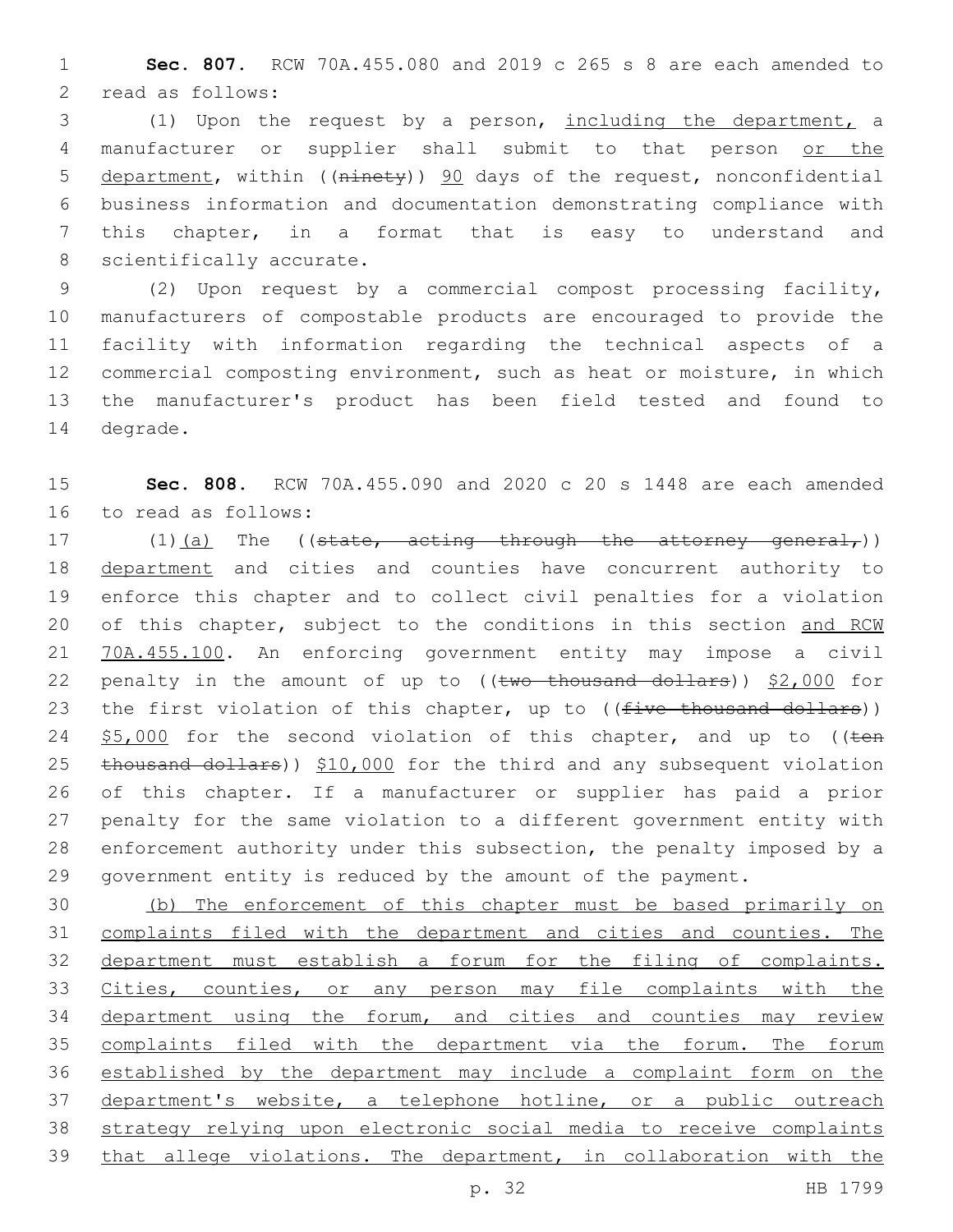**Sec. 807.** RCW 70A.455.080 and 2019 c 265 s 8 are each amended to 2 read as follows:

 (1) Upon the request by a person, including the department, a manufacturer or supplier shall submit to that person or the 5 department, within ((ninety)) 90 days of the request, nonconfidential business information and documentation demonstrating compliance with this chapter, in a format that is easy to understand and 8 scientifically accurate.

 (2) Upon request by a commercial compost processing facility, manufacturers of compostable products are encouraged to provide the facility with information regarding the technical aspects of a commercial composting environment, such as heat or moisture, in which the manufacturer's product has been field tested and found to 14 degrade.

 **Sec. 808.** RCW 70A.455.090 and 2020 c 20 s 1448 are each amended 16 to read as follows:

 $(1)(a)$  The ((state, acting through the attorney general,)) department and cities and counties have concurrent authority to enforce this chapter and to collect civil penalties for a violation 20 of this chapter, subject to the conditions in this section and RCW 70A.455.100. An enforcing government entity may impose a civil 22 penalty in the amount of up to  $((\text{two thousand dollars}))$  \$2,000 for 23 the first violation of this chapter, up to  $((five-thousand-dollars))$  $$5,000$  for the second violation of this chapter, and up to ((ten 25 thousand dollars)) \$10,000 for the third and any subsequent violation of this chapter. If a manufacturer or supplier has paid a prior penalty for the same violation to a different government entity with enforcement authority under this subsection, the penalty imposed by a government entity is reduced by the amount of the payment.

 (b) The enforcement of this chapter must be based primarily on complaints filed with the department and cities and counties. The department must establish a forum for the filing of complaints. Cities, counties, or any person may file complaints with the 34 department using the forum, and cities and counties may review complaints filed with the department via the forum. The forum established by the department may include a complaint form on the department's website, a telephone hotline, or a public outreach strategy relying upon electronic social media to receive complaints 39 that allege violations. The department, in collaboration with the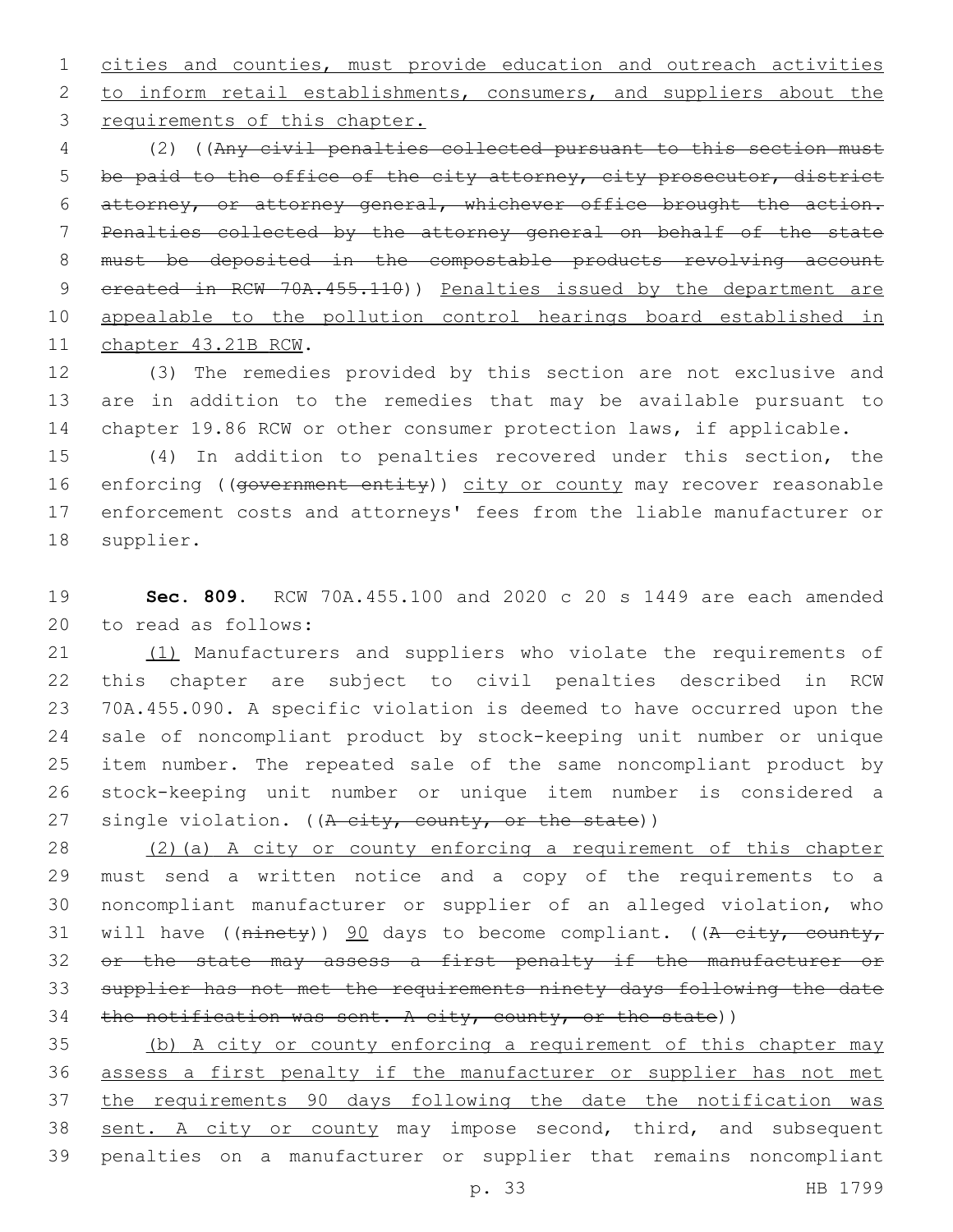1 cities and counties, must provide education and outreach activities 2 to inform retail establishments, consumers, and suppliers about the 3 requirements of this chapter.

 (2) ((Any civil penalties collected pursuant to this section must 5 be paid to the office of the city attorney, city prosecutor, district attorney, or attorney general, whichever office brought the action. Penalties collected by the attorney general on behalf of the state must be deposited in the compostable products revolving account 9 created in RCW 70A.455.110)) Penalties issued by the department are appealable to the pollution control hearings board established in 11 chapter 43.21B RCW.

12 (3) The remedies provided by this section are not exclusive and 13 are in addition to the remedies that may be available pursuant to 14 chapter 19.86 RCW or other consumer protection laws, if applicable.

15 (4) In addition to penalties recovered under this section, the 16 enforcing ((government entity)) city or county may recover reasonable 17 enforcement costs and attorneys' fees from the liable manufacturer or 18 supplier.

19 **Sec. 809.** RCW 70A.455.100 and 2020 c 20 s 1449 are each amended 20 to read as follows:

21 (1) Manufacturers and suppliers who violate the requirements of this chapter are subject to civil penalties described in RCW 70A.455.090. A specific violation is deemed to have occurred upon the sale of noncompliant product by stock-keeping unit number or unique item number. The repeated sale of the same noncompliant product by stock-keeping unit number or unique item number is considered a 27 single violation. ((A city, county, or the state))

28 (2)(a) A city or county enforcing a requirement of this chapter 29 must send a written notice and a copy of the requirements to a 30 noncompliant manufacturer or supplier of an alleged violation, who 31 will have (( $n$ inety)) 90 days to become compliant. (( $A$  city, county, 32 or the state may assess a first penalty if the manufacturer or 33 supplier has not met the requirements ninety days following the date 34 the notification was sent. A city, county, or the state))

 (b) A city or county enforcing a requirement of this chapter may assess a first penalty if the manufacturer or supplier has not met the requirements 90 days following the date the notification was 38 sent. A city or county may impose second, third, and subsequent penalties on a manufacturer or supplier that remains noncompliant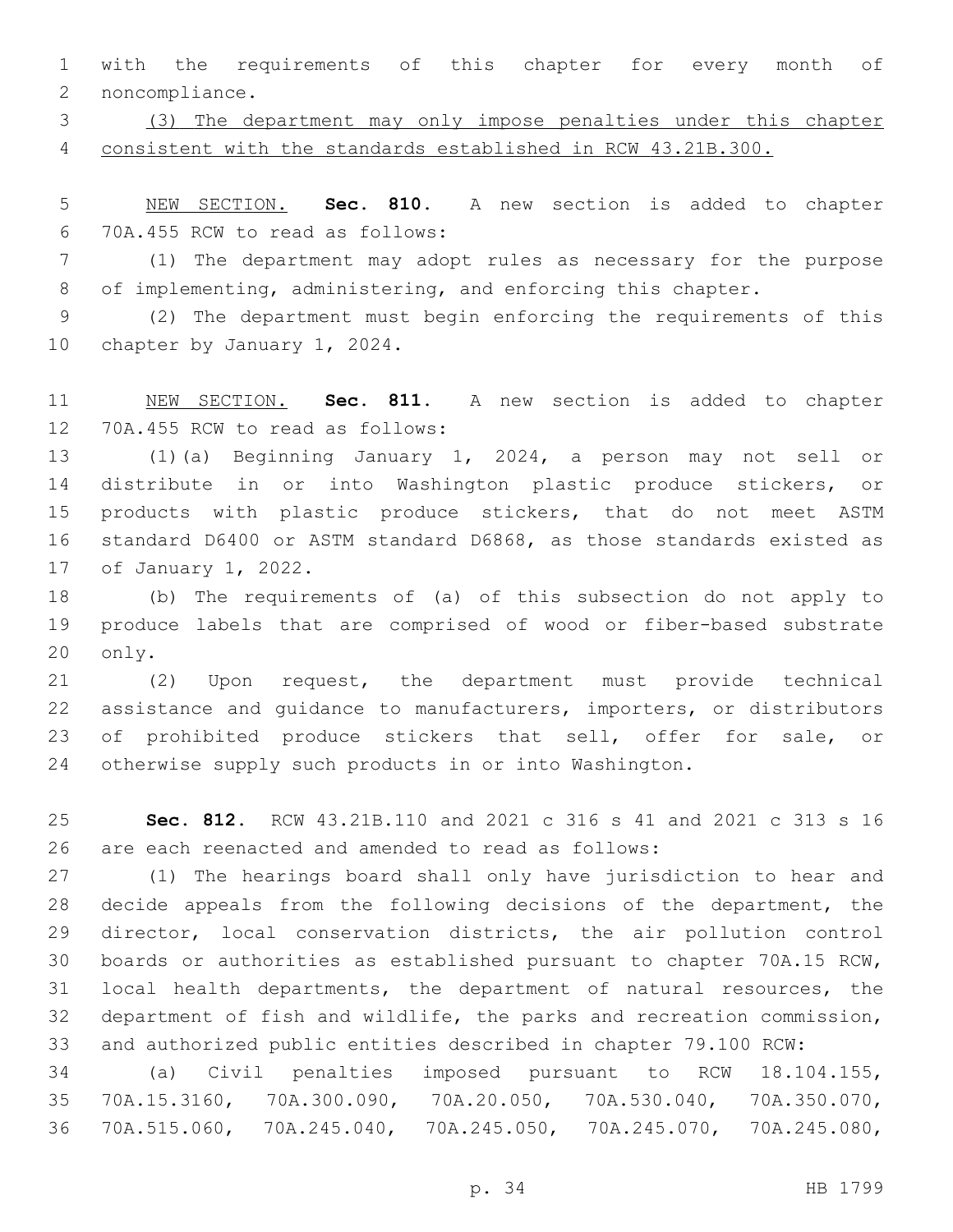with the requirements of this chapter for every month of 2 noncompliance.

 (3) The department may only impose penalties under this chapter consistent with the standards established in RCW 43.21B.300.

 NEW SECTION. **Sec. 810.** A new section is added to chapter 70A.455 RCW to read as follows:6

 (1) The department may adopt rules as necessary for the purpose of implementing, administering, and enforcing this chapter.

 (2) The department must begin enforcing the requirements of this 10 chapter by January 1, 2024.

 NEW SECTION. **Sec. 811.** A new section is added to chapter 12 70A.455 RCW to read as follows:

 (1)(a) Beginning January 1, 2024, a person may not sell or distribute in or into Washington plastic produce stickers, or products with plastic produce stickers, that do not meet ASTM standard D6400 or ASTM standard D6868, as those standards existed as 17 of January 1, 2022.

 (b) The requirements of (a) of this subsection do not apply to produce labels that are comprised of wood or fiber-based substrate 20 only.

 (2) Upon request, the department must provide technical assistance and guidance to manufacturers, importers, or distributors 23 of prohibited produce stickers that sell, offer for sale, or otherwise supply such products in or into Washington.

 **Sec. 812.** RCW 43.21B.110 and 2021 c 316 s 41 and 2021 c 313 s 16 are each reenacted and amended to read as follows:

 (1) The hearings board shall only have jurisdiction to hear and decide appeals from the following decisions of the department, the director, local conservation districts, the air pollution control boards or authorities as established pursuant to chapter 70A.15 RCW, local health departments, the department of natural resources, the department of fish and wildlife, the parks and recreation commission, and authorized public entities described in chapter 79.100 RCW:

 (a) Civil penalties imposed pursuant to RCW 18.104.155, 70A.15.3160, 70A.300.090, 70A.20.050, 70A.530.040, 70A.350.070, 70A.515.060, 70A.245.040, 70A.245.050, 70A.245.070, 70A.245.080,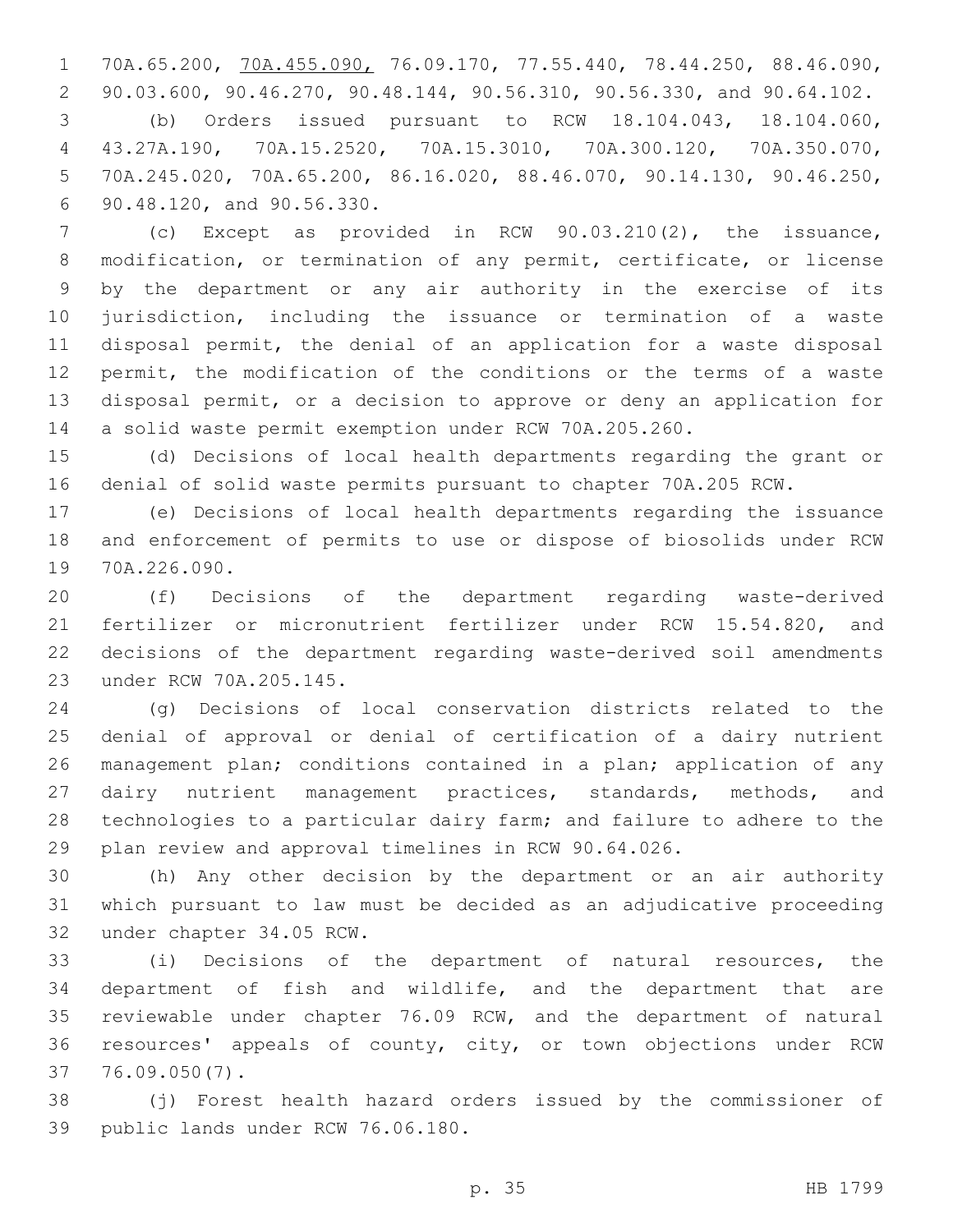70A.65.200, 70A.455.090, 76.09.170, 77.55.440, 78.44.250, 88.46.090, 90.03.600, 90.46.270, 90.48.144, 90.56.310, 90.56.330, and 90.64.102.

 (b) Orders issued pursuant to RCW 18.104.043, 18.104.060, 43.27A.190, 70A.15.2520, 70A.15.3010, 70A.300.120, 70A.350.070, 70A.245.020, 70A.65.200, 86.16.020, 88.46.070, 90.14.130, 90.46.250, 90.48.120, and 90.56.330.6

 (c) Except as provided in RCW 90.03.210(2), the issuance, modification, or termination of any permit, certificate, or license by the department or any air authority in the exercise of its jurisdiction, including the issuance or termination of a waste disposal permit, the denial of an application for a waste disposal permit, the modification of the conditions or the terms of a waste disposal permit, or a decision to approve or deny an application for a solid waste permit exemption under RCW 70A.205.260.

 (d) Decisions of local health departments regarding the grant or denial of solid waste permits pursuant to chapter 70A.205 RCW.

 (e) Decisions of local health departments regarding the issuance and enforcement of permits to use or dispose of biosolids under RCW 19 70A.226.090.

 (f) Decisions of the department regarding waste-derived fertilizer or micronutrient fertilizer under RCW 15.54.820, and decisions of the department regarding waste-derived soil amendments 23 under RCW 70A.205.145.

 (g) Decisions of local conservation districts related to the denial of approval or denial of certification of a dairy nutrient management plan; conditions contained in a plan; application of any dairy nutrient management practices, standards, methods, and technologies to a particular dairy farm; and failure to adhere to the plan review and approval timelines in RCW 90.64.026.

 (h) Any other decision by the department or an air authority which pursuant to law must be decided as an adjudicative proceeding 32 under chapter 34.05 RCW.

 (i) Decisions of the department of natural resources, the department of fish and wildlife, and the department that are reviewable under chapter 76.09 RCW, and the department of natural resources' appeals of county, city, or town objections under RCW 76.09.050(7).37

 (j) Forest health hazard orders issued by the commissioner of 39 public lands under RCW 76.06.180.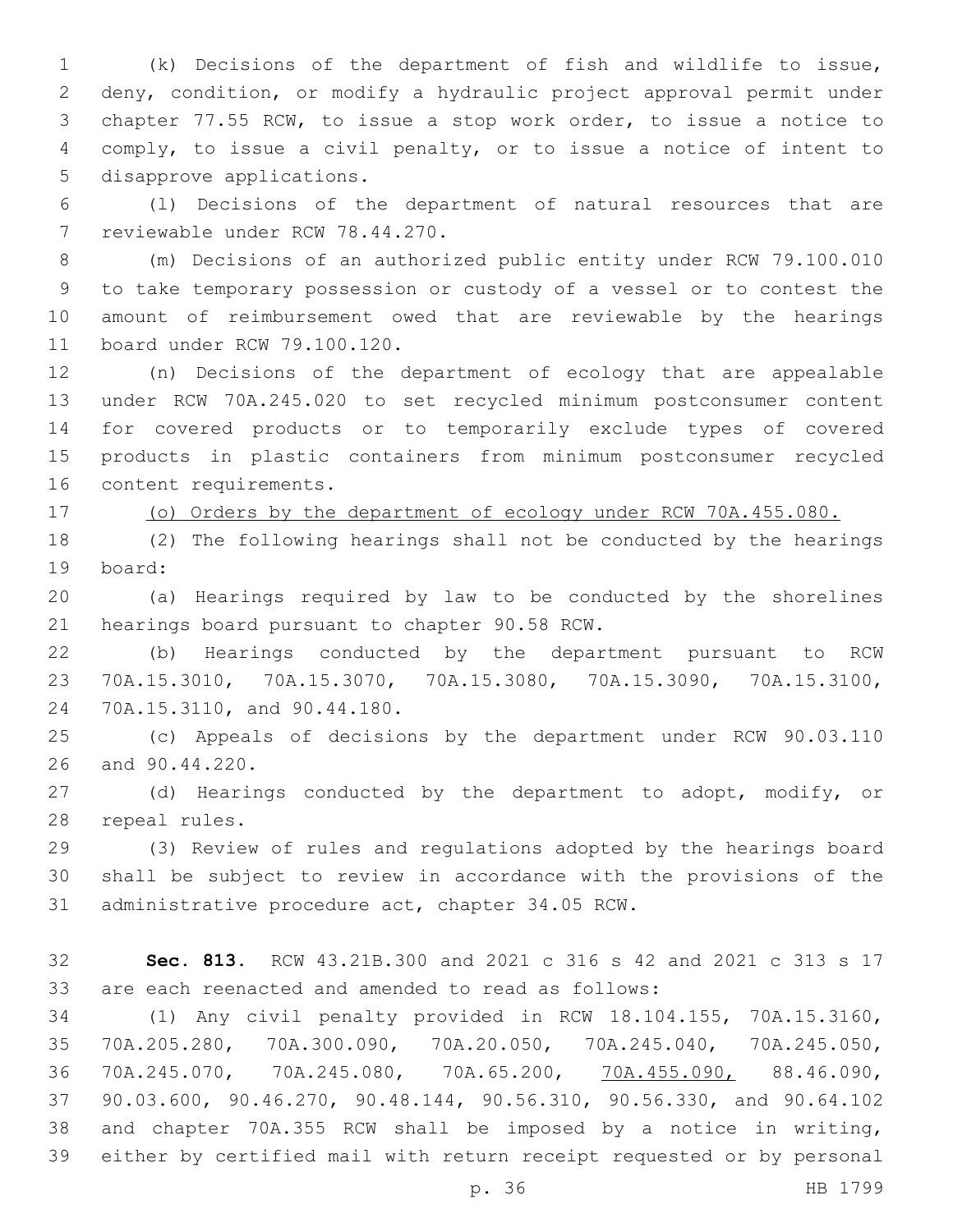(k) Decisions of the department of fish and wildlife to issue, deny, condition, or modify a hydraulic project approval permit under chapter 77.55 RCW, to issue a stop work order, to issue a notice to comply, to issue a civil penalty, or to issue a notice of intent to 5 disapprove applications.

 (l) Decisions of the department of natural resources that are 7 reviewable under RCW 78.44.270.

 (m) Decisions of an authorized public entity under RCW 79.100.010 to take temporary possession or custody of a vessel or to contest the amount of reimbursement owed that are reviewable by the hearings 11 board under RCW 79.100.120.

 (n) Decisions of the department of ecology that are appealable under RCW 70A.245.020 to set recycled minimum postconsumer content for covered products or to temporarily exclude types of covered products in plastic containers from minimum postconsumer recycled 16 content requirements.

(o) Orders by the department of ecology under RCW 70A.455.080.

 (2) The following hearings shall not be conducted by the hearings board:19

 (a) Hearings required by law to be conducted by the shorelines 21 hearings board pursuant to chapter 90.58 RCW.

 (b) Hearings conducted by the department pursuant to RCW 70A.15.3010, 70A.15.3070, 70A.15.3080, 70A.15.3090, 70A.15.3100, 24 70A.15.3110, and 90.44.180.

 (c) Appeals of decisions by the department under RCW 90.03.110 26 and 90.44.220.

 (d) Hearings conducted by the department to adopt, modify, or 28 repeal rules.

 (3) Review of rules and regulations adopted by the hearings board shall be subject to review in accordance with the provisions of the 31 administrative procedure act, chapter 34.05 RCW.

 **Sec. 813.** RCW 43.21B.300 and 2021 c 316 s 42 and 2021 c 313 s 17 are each reenacted and amended to read as follows:

 (1) Any civil penalty provided in RCW 18.104.155, 70A.15.3160, 70A.205.280, 70A.300.090, 70A.20.050, 70A.245.040, 70A.245.050, 70A.245.070, 70A.245.080, 70A.65.200, 70A.455.090, 88.46.090, 90.03.600, 90.46.270, 90.48.144, 90.56.310, 90.56.330, and 90.64.102 and chapter 70A.355 RCW shall be imposed by a notice in writing, either by certified mail with return receipt requested or by personal

p. 36 HB 1799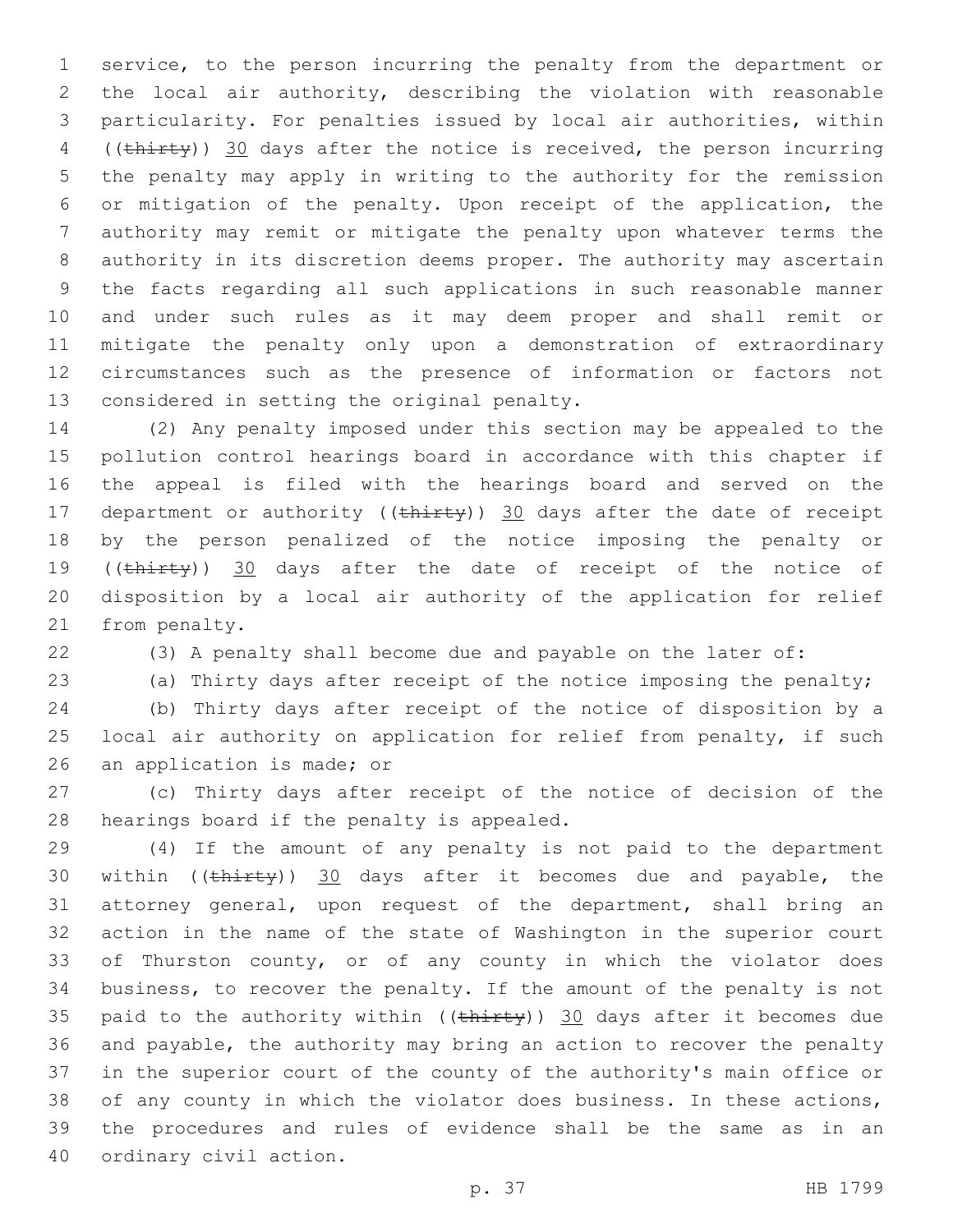service, to the person incurring the penalty from the department or the local air authority, describing the violation with reasonable particularity. For penalties issued by local air authorities, within 4 ((thirty)) 30 days after the notice is received, the person incurring the penalty may apply in writing to the authority for the remission or mitigation of the penalty. Upon receipt of the application, the authority may remit or mitigate the penalty upon whatever terms the authority in its discretion deems proper. The authority may ascertain the facts regarding all such applications in such reasonable manner and under such rules as it may deem proper and shall remit or mitigate the penalty only upon a demonstration of extraordinary circumstances such as the presence of information or factors not 13 considered in setting the original penalty.

 (2) Any penalty imposed under this section may be appealed to the pollution control hearings board in accordance with this chapter if the appeal is filed with the hearings board and served on the 17 department or authority (( $\text{thirey}$ )) 30 days after the date of receipt by the person penalized of the notice imposing the penalty or 19 ((thirty)) 30 days after the date of receipt of the notice of disposition by a local air authority of the application for relief 21 from penalty.

(3) A penalty shall become due and payable on the later of:

(a) Thirty days after receipt of the notice imposing the penalty;

 (b) Thirty days after receipt of the notice of disposition by a 25 local air authority on application for relief from penalty, if such 26 an application is made; or

 (c) Thirty days after receipt of the notice of decision of the 28 hearings board if the penalty is appealed.

 (4) If the amount of any penalty is not paid to the department 30 within  $((\text{thirty}))$  30 days after it becomes due and payable, the attorney general, upon request of the department, shall bring an action in the name of the state of Washington in the superior court of Thurston county, or of any county in which the violator does business, to recover the penalty. If the amount of the penalty is not 35 paid to the authority within ( $(\text{thirty})$ ) 30 days after it becomes due and payable, the authority may bring an action to recover the penalty in the superior court of the county of the authority's main office or of any county in which the violator does business. In these actions, the procedures and rules of evidence shall be the same as in an 40 ordinary civil action.